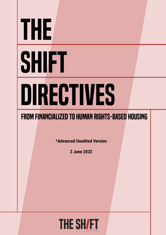# The **SHIFT** Directives

## FROM FINANCIALIZED TO HUMAN RIGHTS-BASED HOUSING

**\*Advanced Unedited Version**

**2 June 2022**

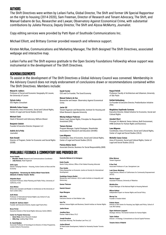#### AUTHORS

The Shift Directives were written by Leilani Farha, Global Director, The Shift and former UN Special Rapporteur on the right to housing (2014-2020), Sam Freeman, Director of Research and Tenant Advocacy, The Shift, and Manuel Gabarre de Sus, Researcher and Lawyer, Observatory Against Economical Crime, with substantial contributions by Julieta Perucca, Deputy Director, The Shift and Alyssa McMurtry, Journalist.

Copy editing services were provided by Patti Ryan of Southside Communications Inc.

Michael Elliott, and Brittany Cormier provided research and reference support.

Kirsten McRae, Communications and Marketing Manager, The Shift designed The Shift Directives, associated webpage and interactive map.

Leilani Farha and The Shift express gratitude to the Open Society Foundations Fellowship whose support was instrumental in the development of The Shift Directives.

#### ACKNOWLEDGEMENTS

To assist in the development of The Shift Directives a Global Advisory Council was convened. Membership in the Advisory Council does not imply endorsement of conclusions drawn or recommendations contained within The Shift Directives. Members include:

**Manuel B. Aalbers** 

Professor of Social and Economic Geography, KU Leuven, the University of Leuven

**Sylvain Aubry** ESC Rights Consultant

**Michelle Cañas Comas** Researcher, Area of Economic, Social and Cultural Rights, Center of Legal and Social Studies (CELS)

**Michael Clark** Head of Research and Advocacy, Ndifuna Ukwazi

**Benjamin Cokelet** Founder & Executive Director, Empower LLC

**Andrés de la Peña** Journalist

**Acorn Canada**

**Sofia Lopez**

**Alejandra Reyes**

California, Irvine **Anna Minton**

East London (UEL) **Aoife Nolan**

**Bruce Porter**

University of Nottingham **Ariadna M. Godreau Aubert**

**Center for Popular Democracy** » **Amee Chew,** Senior Research Analyst » **Abby Ang,** Leading Edge Fellow

Economy

» **Judy Duncan,** Head Organizer

**(Network of Akelius Tenants Berlin)**

**Kate Donald** Director of Program, Center for Economic and Social Rights (CESR)

» **Bhumika Jhamb**, Research and Communications Coordinator

Deputy Campaign Director – Housing**,** Action Centre on Race and the

Assistant Professor, Urban Planning and Public Policy. University of

Writer and Journalist and Reader in Architecture at the University of

Professor of International Human Rights Law, School of Law,

Founder and Executive Director, Ayuda Legal Puerto Rico

Executive Director of the Social Rights Advocacy Centre (SRAC)

**StoppAkelius - Vernetzung der Akelius Mieter\*innen Berlin** 

**Sarah Forster** CEO and Co-Founder, The Good Economy

**Manuel Gabarre de Sus** Researcher and lawyer. Observatory Against Economical Crime.

**Javier Gil** Tenant Organizer and Researcher, Institute for Housing and Urban Research, Uppsala University

**Nikolaj Halkjaer Pedersen** Senior Lead, Human Rights, Principles for Responsible Investment (PRI)

**Tamara Herman** Program Manager, Capital Strategies, Shareholder Association for Research and Education (SHARE)

**Luna Miguens** Coordinator, Area of Economic, Social and Cultural Rights, Center of Legal and Social Studies (CELS)

**Paloma Muñoz Quick** Associate Director, Business for Social Responsibility (BSR)

Invaluable feedback & commentary was provided by:

**Deutsche Wohnen & Co Enteignen** 

**Emily Paradis** Senior Policy Advisor, Office of the Federal Housing Advocate

**Flora Sonkin** Policy Researcher on Economic Justice at Society for International Development

**Guadalupe Granero Realini**  Researcher and Professor. UCLA Luskin Institute on Inequality and **Democracy** 

**Gunnar Theissen**

**Hamish Stewart**

**Hope Bhargava**

**Indy Johar** Executive Director at Dark Matter Labs

**Iona Tut** Advisor, Human Rights and Business, Danish Institue on Human Rights

**Jackie Brown** 

**Jonathan Nace**  Partner. Nidel & Nace, PLLC

**Joseph Donahue** Associate Attorney, The Donahue Law Firm, LLC

**Joshua Bénard** VP Real Estate Development, Habitat for Humanity Greater Toronto Area

**Kilian Weisser** Tenant Organizer

**Michelle Canas Comas** 

Legal and Social Studies (CELS)

**Raquel Rolnik**

of São Paulo **Delilah Rothenberg**

Cultural Rights **Annabel Short**

**Luna Miguens** 

**Magdalena Sepúlveda Carmona**

(PDI)

**K-Sue Park** Associate Professor of Law. Georgetown Law

**Leah Simon-Weisberg** Legal Director, Alliance of Californians for Community Empowerment (ACCE)

Professor, Faculty of Architecture and Urbanism, University

Co-Founder & Executive Director, Predistribution Initiative

Executive Director, Global Initiative for Economic, Social and

Principal, It's Material; Senior Advisor, Built Environment, IHRB (Institute for Human Rights and Business).

Coordinator, Area of Economic, Social and Cultural Rights,

Area of Economic, Social and Cultural Rights, Center of

Center of Legal and Social Studies (CELS)

**Martine August** Assistant Professor, University of Waterloo

**Michèle Biss** Project Manager of the National Right to Housing Network

**Miloon Kothari** Independent Expert on Human Rights and Social Policy

**Murray Cox** Founder of Inside Airbnb

**Padraic Kenna** Director of the Centre for Housing Law, Rights and Policy. School of Law, NUI Galway

**Signe Andreasen Lysgaard** Strategic Advisor, The Danish Institute for Human Rights

**Taylor Sekhon** Director of Strategy & Investments at Social Capital Partners

**Tenants Union of Madrid** 

Associate Professor of Sociology & Co-Director of Cities Programme, London School of Economics

**Dr. David Madden**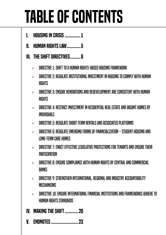## Table of Contents

- **I. HOUSING IN CRISIS ...............1**
- II. [human rights law.............5](#page-7-0)
- III. [the shift directives..........8](#page-10-0)
	- » [directive 1: Shift to a Human Rights-Based Housing Framework](#page-10-0)
	- $\rightarrow$  directive 2: Regulate Institutional Investment in Housing to Comply with Human **RIGHTS**
	- » [directive 3: Ensure Renovations and Redevelopment are Consistent with Human](#page-14-0)  **RIGHTS**
	- » [directive 4: Restrict Investment in Residential Real Estate and Vacant Homes by](#page-15-0)  [Individuals](#page-15-0)
	- » [directive 5: Regulate Short-Term Rentals and Associated Platforms](#page-16-0)
	- » [directive 6: Regulate Emerging Forms of Financialization Student Housing and](#page-17-0)  [Long-Term Care Homes](#page-17-0)
	- $\gg$  directive 7: Enact Effective Legislative Protections for Tenants and Ensure Their **PARTICIPATION**
	- » [directive 8: Ensure Compliance with Human Rights by Central and Commercial](#page-19-0)  **BANKS**
	- » [directive 9: Strengthen International, Regional and Industry Accountability](#page-20-0)  [Mechanisms](#page-20-0)
	- » [directive 10: Ensure International Financial Institutions and Frameworks Adhere to](#page-21-0)  [Human Rights Standards](#page-21-0)
- IV. [making the shift.............20](#page-22-0)
- **V. ENDNOTES .........................**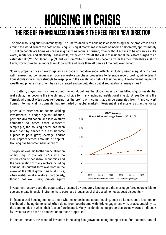## HOUSING IN CRISIS

I.

## <span id="page-3-0"></span>THE RISE OF FINANCIALIZED HOUSING & THE NEED FOR A NEW DIRECTION

The global housing crisis is intensifying. The unaffordability of housing is an increasingly acute problem in cities around the world, where the cost of housing is rising at many times the rate of income.1 Worse yet, approximately 1.8 billion people are homeless or live in grossly inadequate housing, often without access to basic services like water, sanitation, and electricity.<sup>2</sup> Meanwhile, by the end of 2020, the value of residential real estate surged to an estimated US\$258.5 trillion<sup>3</sup>– up \$90 trillion from 2016.4 Housing has become by far the most valuable asset on Earth, worth three times more than global GDP and more than 20 times all the gold ever mined.<sup>5</sup>

Soaring property prices have triggered a cascade of negative social effects, including rising inequality in cities with far-reaching consequences. Some investors purchase properties to leverage record profits, while tenant households increasingly struggle to keep up with the escalating costs of their housing. The dominant impact of wealth and private investment has also created and perpetuated spatial segregation in many cities.<sup>6</sup>

This pattern, playing out in cities around the world, defines the global housing crisis.<sup>7</sup> Housing, or residential real estate, has become the investment of choice for many, including institutional investors<sup>8</sup> [see Defining the Terms], who most often acquire housing for the profits or income that can be generated from it and convert homes into financial instruments that are traded on global markets.<sup>9</sup> Residential real estate is attractive for its

potential to offer secure income yielding investments, a hedge against inflation, portfolio diversification, and low volatility compared to other asset classes.10 Simply put, the housing sector has been taken over by finance.11 It has become a place to park, grow, leverage, and/or hide unprecedented amounts of capital. Housing has become financialized.<sup>12</sup>

The ground was laid for the financialization of housing<sup>13</sup> in the late 1970s with the introduction of neoliberal economics and the deregulation of many sectors including housing. Its current form was born in the wake of the 2008 global financial crisis, when institutional investors—particularly, though not exclusively, private equity



investment funds— used the opportunity presented by predatory lending and the mortgage foreclosure crisis to use and create financial instruments to purchase thousands of distressed homes at deep discounts.<sup>14</sup>

In financialized housing markets, those who make decisions about housing, such as its use, cost, location, or likelihood of being demolished, often do so from boardrooms with little engagement with, or accountability to, the communities in which their "assets" are located. Many residential rental properties are now owned indirectly by investors who have no connection to those properties.

In the last decade, the reach of investors in housing has grown, including during crises. For instance, natural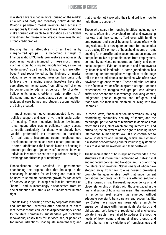#### Housing in crisis

disasters have resulted in more housing on the market at a reduced cost, and monetary policy during the Covid-19 pandemic meant investors had access to exceptionally low-interest rate loans. These conditions make housing vulnerable to exploitation as a profitable investment for those who already have wealth and strong credit profiles.

Housing that is affordable – often lived in by marginalized groups – is becoming a target of financialization.15 Some large investors are increasingly purchasing housing intended for those most in need, such as social housing and mobile homes, as well as "undervalued" apartment buildings, which are often bought and repositioned at the high-end of market value. In some instances, investors buy units only to leave them standing empty. Investors have also capitalized on the increased "touristification" of cities by converting long-term residences into short-term holiday units using short-term rental platforms. At the same time, new asset classes such as long-term residential care homes and student accommodation are being created.

In most countries, government-enacted laws and policies support and even drive the financialization of housing. These incentives include low-interest rates, quantitative easing policies,<sup>16</sup> easy access to credit particularly for those who already have wealth, preferential tax treatment in particular for real estate investment trusts, neighbourhood development schemes, and weak tenant protections. In some jurisdictions, the financialization of housing is encouraged through "golden visa" schemes, in which individual investors are enticed to purchase housing in exchange for citizenship or residency.

Financialization has resulted in governments abandoning the original idea that housing is the necessary foundation for well-being and that it can be used to stimulate economic growth *for the benefit of society at large*. Housing has lost its currency as "home"17 and is increasingly disconnected from its social function and status as a fundamental human right.

Tenants living in housing owned by corporate landlords and institutional investors often complain of sharp rent increases that can lead to displacement; evictions to facilitate sometimes substandard yet profitable renovations; costly fees for services and/or penalties for minor infractions; inadequate maintenance; and that they do not know who their landlord is or how to hold them to account.<sup>18</sup>

Those who search for housing in cities, including key workers, often find overvalued rental and ownership markets that they cannot afford even with full-time employment, and social housing is scant often with long waitlists. It is now quite common for households to be paying 50% or more of household income on rent. Looking for more affordable accommodation, many are compelled to live at great distances from employment, community services, transportation, family, and other social supports. Eviction of tenants and homeowners by financialized landlords in some jurisdictions has become quite commonplace,<sup>19</sup> regardless of the huge toll it takes on individuals and families, who often have nowhere to go once evicted. These and other realities of the financialization of housing are disproportionately experienced by marginalized groups who already suffer socioeconomic disadvantage, including women, Indigenous people, migrants and refugees, and those who are racialized, disabled, or living with low incomes<sup>20</sup>

In these ways, financialization undermines housing affordability, habitability, security of tenure, and the meaningful participation of residents in decisions that affect their lives, all of which are requirements of, and critical to, the enjoyment of the right to housing under international human rights law.21 It also contributes to social instability and inequality, which are systemic risks to the economy and, counter-intuitively, systematic risks to diversified investors and their portfolios.

The financialization of housing is now embedded in the structures that inform the functioning of States: fiscal and monetary policies and taxation law. By prioritizing the interests of investors, States (many of whom have stepped away from their role as housing providers) promote the questionable idea<sup>22</sup> that under current conditions corporate landlords are offering solutions to the housing crisis. The resulting dependency on and close relationship of States with those engaged in the financialization of housing has meant that investment in residential real estate has emerged without adequate oversight, transparency, and accountability; few States have made any meaningful attempts to ensure compliance with human rights standards and obligations. Left largely unregulated and unchecked, private interests have failed to address the housing needs of low-income and marginalized groups, and so the human rights violations of homelessness and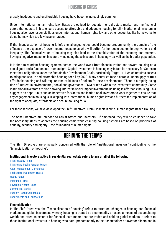#### Housing in crisis

grossly inadequate and unaffordable housing have become increasingly common.

Under international human rights law, States are obliged to regulate the real estate market and the financial actors that operate in it to ensure access to affordable and adequate housing for all.<sup>23</sup> Institutional investors in housing also have responsibilities under international human rights law and other accountability frameworks to do no harm, which too few have embraced. 24

If the financialization of housing is left unchallenged, cities could become predominantly the domain of the affluent at the expense of lower-income households who will suffer further socio-economic deprivations and inequality. The financialization of housing may also lead to the destabilization of the economy and markets, having a negative impact on investors – including those invested in housing – as well as the broader population.

It is time to re-orient housing systems across the world away from financialization and toward housing as a social good and a fundamental human right. Capital investment in housing may in fact be necessary for States to meet their obligations under the Sustainable Development Goals, particularly Target 11.1 which requires access to adequate, secure and affordable housing for all by 2030. Many countries face a chronic undersupply of truly affordable housing and will require tens of billions of dollars for new developments. There is a rapidly rising tide of interest in environmental, social and governance (ESG) criteria within the investment community. Some institutional investors are also showing interest in social impact investment including in affordable housing. This suggests an opportunity and an imperative for States and institutional investors to work together to ensure that any engagement in housing is in keeping with international human rights law and furthers the implementation of the right to adequate, affordable and secure housing for all.

For these reasons, we have developed the Shift Directives: From Financialized to Human Rights-Based Housing.

The Shift Directives are intended to assist States and investors. If embraced, they will be equipped to take the necessary steps to address the housing crisis while ensuring housing systems are based on principles of equality, security and dignity – the foundation of human rights.

#### DEFINING THE TERMS

The Shift Directives are principally concerned with the role of "institutional investors" contributing to the "financialization of housing".

#### **Institutional investors active in residential real estate refers to any or all of the following:**

[Private Equity Firms](https://www.investopedia.com/terms/p/privateequity.asp) [Private and Public Pension Funds](https://www.investopedia.com/articles/investing-strategy/090916/how-do-pension-funds-work.asp#toc-how-pension-funds-work) [Asset Management Companies](https://www.investopedia.com/terms/c/commercialbank.asp) [Real Estate Investment Trusts](https://www.investopedia.com/terms/r/reit.asp) **[Hedge Funds](https://www.investopedia.com/articles/investing/102113/what-are-hedge-funds.asp)** [Insurance Firms](https://www.investopedia.com/terms/i/insurance.asp) [Sovereign Wealth Funds](https://www.investopedia.com/terms/s/sovereign_wealth_fund.asp) [Commercial Banks](https://www.investopedia.com/terms/c/commercialbank.asp) [Publicly Traded Companies](https://www.investopedia.com/terms/p/publiccompany.asp) [Endowments and Foundations](https://www.investopedia.com/terms/e/endowment.asp)

#### **Financialization**

In The Shift Directives, the "financialization of housing" refers to structural changes in housing and financial markets and global investment whereby housing is treated as a commodity or asset, a means of accumulating wealth and often as security for financial instruments that are traded and sold on global markets. It refers to those institutional investors in housing who cater predominantly to their shareholder or investor clients and in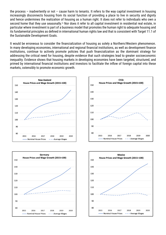the process – inadvertently or not – cause harm to tenants. It refers to the way capital investment in housing increasingly disconnects housing from its social function of providing a place to live in security and dignity and hence undermines the realization of housing as a human right. It does not refer to individuals who own a second home that they use seasonally.<sup>25</sup> Nor does it refer to all capital investment in residential real estate, in particular where investment is part of a business model that promotes the human right to adequate housing and its fundamental principles as defined in international human rights law and that is consistent with Target 11.1 of the Sustainable Development Goals.

It would be erroneous to consider the financialization of housing as solely a Northern/Western phenomenon. In many developing economies, international and regional financial institutions, as well as development finance institutions, continue to actively promote policies that push financialization as the dominant strategy for addressing the critical need for housing, despite evidence that such strategies lead to greater socioeconomic inequality. Evidence shows that housing markets in developing economies have been targeted, structured, and primed by international financial institutions and investors to facilitate the inflow of foreign capital into these markets, ostensibly to promote economic growth.







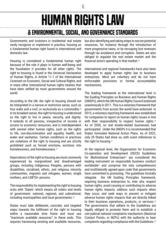## <span id="page-7-0"></span>human rights law & Environmental, Social, and Governance Standards

II.

Governments and investors in residential real estate rarely recognize or implement in practice, housing as a fundamental human right found in international and domestic law.

Housing is considered a fundamental human right because of the role it plays in human well-being and the foundation it provides for all other rights. The right to housing is found in the Universal Declaration of Human Rights, in Article 11.1 of the International Covenant on Economic, Social and Cultural Rights, and in many other international human rights treaties that have been ratified by most governments around the world.

According to the UN, the right to housing should not be interpreted in a narrow or restrictive sense, such as four walls and a roof, or exclusively as a commodity.26 In its broadest sense, the right to housing is understood as the right to live in peace, security, and dignity. It extends to all persons, irrespective of income or access to economic resources, and is interdependent with several other human rights, such as the rights to life, non-discrimination and equality, health, and water and sanitation. Certain conditions or practices are violations of the right to housing and are strictly prohibited such as forced evictions, evictions into homelessness, and homelessness.27

Deprivations of the right to housing are most commonly experienced by marginalized and disadvantaged groups, including Indigenous Peoples, persons with disabilities, racialized, ethnic, and religious minority communities, migrants and refugees, women, single mothers, and LGBTQ+ persons.

The responsibility for implementing the right to housing rests with 'States' which means all orders and levels of government: national, regional, and subnational, including municipalities and local governments.<sup>28</sup>

States must take deliberate, concrete, and targeted steps towards the fulfilment of the right to housing within a reasonable time frame and must use "maximum available resources" to these ends. This requires harnessing existing and available resources, but also identifying and taking steps to secure potential resources, for instance through the introduction of more progressive taxes, or by recouping lost revenues through tax avoidance and corruption. States are also obliged to regulate the real estate market and the financial actors operating in that market.<sup>29</sup>

International and regional frameworks have also been developed to apply human rights law to business enterprises. Most are voluntary and do not have enforceable provisions or formal accountability mechanisms.

The leading framework at the international level is the Guiding Principles on Business and Human Rights (UNGPs), which the UN Human Rights Council endorsed unanimously in 2011. This is a voluntary framework that governments from across the world have endorsed. In 2015, a voluntary reporting framework was established for companies to report on human rights issues in line with their responsibility to respect human rights.<sup>30</sup> As of 2020, no real estate-related businesses had participated. Under the UNGPs it is recommended that States formulate National Action Plans. As of 2022, only 29 States had done so, with scant references to the right to housing.31

At the regional level, the Organisation for Economic Co-operation and Development (OECD) Guidelines for Multinational Enterprises<sup>32</sup> are considered the leading instrument on responsible business conduct worldwide33 and comprise the only comprehensive and multilaterally agreed-upon code that governments have committed to promoting. The guidelines formally integrate the UN Guiding Principles framework, requiring business enterprises to, inter alia, respect human rights, avoid causing or contributing to adverse human rights impacts, address such impacts when they occur, and seek ways to prevent or mitigate adverse human rights impacts that are directly linked to their business operations, products, or services.<sup>34</sup> The governments that adhere to the Guidelines are legally obliged to promote them and to establish a non-judicial national complaints mechanism (National Contact Points, or NCPs) with the authority to hear complaints regarding compliance with the Guidelines.35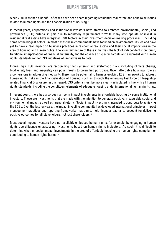Since 2000 less than a handful of cases have been heard regarding residential real estate and none raise issues related to human rights and the financialization of housing.<sup>36</sup>

In recent years, corporations and institutional investors have started to embrace environmental, social, and governance (ESG) criteria, in part due to regulatory requirements.<sup>37</sup> While many who operate or invest in residential real estate have integrated ESG factors in their investment decision-making processes —including some of the biggest actors—in most cases these commitments have focused on environmental issues and have yet to have a real impact on business practices in residential real estate and their social implications in the area of housing and human rights. The voluntary nature of these initiatives, the lack of independent monitoring, traditional interpretations of financial materiality, and the absence of specific targets and alignment with human rights standards render ESG initiatives of limited value to date.

Increasingly, ESG investors are recognizing that systemic and systematic risks, including climate change, biodiversity loss, and inequality can pose threats to diversified portfolios. Given affordable housing's role as a cornerstone in addressing inequality, there may be potential to harness evolving ESG frameworks to address human rights risks in the financialization of housing, such as through the emerging Taskforce on Inequalityrelated Financial Disclosure. In this regard, ESG criteria must be more clearly articulated in line with all human rights standards, including the constituent elements of adequate housing under international human rights law.

In recent years, there has also been a rise in impact investments in affordable housing by some institutional investors. These are investments that are made with the intention to generate positive, measurable social and environmental impact, as well as financial returns. Social impact investing is intended to contribute to achieving the SDGs. Over the last ten years, the impact investing community has developed international principles, impact management practices and reporting frameworks that aim to hold financial capital to account for delivering positive outcomes for all stakeholders, not just shareholders.38

Most social impact investors have not explicitly embraced human rights, for example, by engaging in human rights due diligence or assessing investments based on human rights indicators. As such, it is difficult to determine whether social impact investments in the area of affordable housing are human rights compliant or contributing to human rights harms.39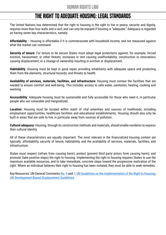### The Right to Adequate Housing: Legal Standards

The United Nations has determined that the right to housing is the right to live in peace, security and dignity, requires more than four walls and a roof, and can only be enjoyed if housing is "adequate." Adequacy is regarded as having seven key characteristics, namely:

**Affordability** – Housing is affordable if it is commensurate with household income, and not measured against what the market can command.

**Security of tenure**: For tenure to be secure States must adopt legal protections against, for example, forced eviction, harassment, or other threats; increases in rent causing unaffordability; construction or renovations causing displacement; or a change of ownership resulting in eviction or displacement.

**Habitability**: Housing must be kept in good repair providing inhabitants with adequate space and protecting them from the elements, structural hazards, and threats to health.

**Availability of services, materials, facilities, and infrastructure**: Housing must contain the facilities that are needed to ensure comfort and well-being. This includes access to safe water, sanitation, heating, cooking and washing.

**Accessibility**: Adequate housing must be sustainable and fully accessible for those who need it, in particular people who are vulnerable and marginalized.

**Location:** Housing must be located within reach of vital amenities and sources of livelihoods, including employment opportunities, healthcare facilities and educational establishments. Housing should also only be built in areas that are safe to live, in particular away from sources of pollution.

**Cultural adequacy:** Housing, through its construction methods and materials, should enable residents to express their cultural identity.

All of these characteristics are equally important. The most relevant in the financialized housing context are typically: affordability, security of tenure, habitability, and the availability of services, materials, facilities, and infrastructure.

States must respect (refrain from causing harm); protect (prevent third party actors from causing harm); and promote (take positive steps) the right to housing. Implementing the right to housing requires States to use the maximum available resources, and to take immediate, concrete steps toward the progressive realization of the right. Where an individual believes their right to housing has been violated, they must be able to seek remedies.

Key Resources: UN General Comments [No. 4](https://www.refworld.org/pdfid/47a7079a1.pdf) and [7;](https://www.refworld.org/docid/47a70799d.html) [UN Guidelines on the Implementation of the Right to Housing](https://documents-dds-ny.un.org/doc/UNDOC/GEN/G19/353/90/PDF/G1935390.pdf?OpenElement); [UN Development-Based Displacement Guidelines](https://www.ohchr.org/sites/default/files/Documents/Issues/Housing/Guidelines_en.pdf)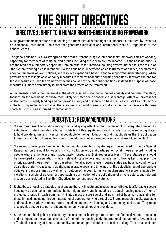III.

## <span id="page-10-0"></span>directive 1: Shift to a Human Rights-Based Housing Framework

Most governments understand that housing is a fundamental human right but support its treatment by investors as a financial instrument – an asset that generates individual and institutional wealth – regardless of the consequences.

The global housing crisis is a strong indication that current housing systems and their frameworks are not working, especially for members of marginalized groups including those who are low-income. But the housing crisis is not the result of a temporary departure from an otherwise functional housing system. Rather, it is the result of "the system working as it is intended."40 When housing is understood as an instrument of finance, governments adopt a framework of laws, policies, and resource expenditure based in and to support that understanding. When governments take legislative or policy measures to remedy inadequate housing conditions, they rarely intend for those measures to undo the framework that has caused the deleterious conditions; instead, the purpose of those measures is, more often simply to ameliorate the effects of the framework.

A fundamental shift in the framework is therefore required – one that embraces equality and non-discrimination, focuses on the well-being of those most likely to suffer socio-economic disadvantage, offers a universal set of standards, is legally binding and can provide clarity and guidance on best practices, as well as hold actors in the housing sector accountable. There is already a global consensus that an effective framework with these characteristics is one informed by human rights.<sup>41</sup>

### directive 1: Recommendations

- 1. States must enact legislation recognizing and giving effect to the human right to adequate housing as established under international human rights law.42 This legislation should include provisions requiring States to hold private actors and investors accountable to the right to housing, and that stipulates that the obligation to realize the right to housing transcends the fiduciary duties owed to investor or shareholder clients.<sup>43</sup>
- 2. States must develop and implement human rights-based housing strategies as outlined by the UN Special Rapporteur on the right to housing – in consultation with, and participation by all those affected including people who are homeless and inadequately housed and their representatives.<sup>44</sup> These strategies should be developed in consultation with all relevant stakeholders and include the following key principles: the prioritization of those most in need based on, inter alia, income level, housing status and housing conditions; a guarantee of rights-based participation; measurable goals and timelines for the establishment of appropriate policies and programmes as well as for outcomes; access to justice mechanisms to secure remedies for violations; a whole of government approach; a clarification of the obligations of private actors; and relevant measures articulated in The Shift Directives to reorient housing systems.
- 3. Rights-based housing strategies must ensure that any investment in housing contributes to affordable, secure housing – as defined in international human rights law – and is meeting the actual housing needs of rightsprotected groups in each community. States must ensure social and non-market housing is available for those in need, including through international cooperation where required. States must also make available and possible a variety of tenure forms including cooperative housing and community land trusts. They must also provide support to non-profit and community-based housing providers.
- 4. States should hold public participatory discussions or hearings<sup>45</sup> to explore the financialization of housing and its impact on the various elements of the right to housing under international human rights law, such as affordability, security of tenure, habitability, and tenant participation in decision-making. These discussions/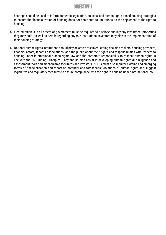#### directive 1

hearings should be used to inform domestic legislation, policies, and human rights-based housing strategies to ensure the financialization of housing does not contribute to limitations on the enjoyment of the right to housing.

- 5. Elected officials in all orders of government must be required to disclose publicly any investment properties they may hold, as well as details regarding any role institutional investors may play in the implementation of their housing strategy.
- 6. National human rights institutions should play an active role in educating decision-makers, housing providers, financial actors, tenants associations, and the public about their rights and responsibilities with respect to housing under international human rights law and the corporate responsibility to respect human rights in line with the UN Guiding Principles. They should also assist in developing human rights due diligence and assessment tools and mechanisms for States and investors. NHRIs must also monitor existing and emerging forms of financialization and report on potential and foreseeable violations of human rights and suggest legislative and regulatory measures to ensure compliance with the right to housing under international law.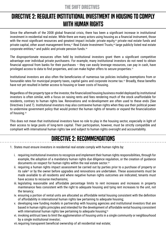## <span id="page-12-0"></span>directive 2: Regulate Institutional Investment in Housing to Comply with Human Rights

Since the aftermath of the 2008 global financial crisis, there has been a significant increase in institutional investment in residential real estate. While there are many actors using housing as a financial instrument, those with the most significant resources and greatest impact include: private equity,<sup>46</sup> private real estate funds and private capital, other asset management firms,<sup>47</sup> Real Estate Investment Trusts,<sup>48</sup> large publicly listed real estate corporate entities,<sup>49</sup> and public and private pension funds.<sup>50</sup>

The disproportionate resources often held by institutional investors grant them a significant competitive advantage over individual private purchasers. For example, many institutional investors do not need to obtain financial approval from banks for their purchases – they can easily leverage resources, can pay in cash, have privileged access to data to find properties, and can make higher offers to secure properties.<sup>51</sup>

Institutional investors are also often the beneficiaries of numerous tax policies including exemptions from or favourable rates for municipal property taxes, capital gains and corporate income tax.<sup>52</sup> Broadly, these benefits have not yet resulted in better access to housing or lower costs of housing.

Regardless of the property type or the investor, the financialized housing business model deployed by institutional investors is often similar, with a focus on raising rents and fees rendering much of the stock unaffordable for residents, contrary to human rights law. Renovations and re-development are often used to these ends (See Directives 3 and 7). Institutional investors may also contravene human rights when they use their political power to undermine government policy that would protect the human rights of tenants or expand the financialization of housing.<sup>53</sup>

This does not mean that institutional investors have no role to play in the housing sector, especially in light of their access to large pools of long-term capital. Their participation, however, must be strictly compatible and compliant with international human rights law and subject to human rights oversight and accountability.

## directive 2: Recommendations

- 1. States must ensure investors in residential real estate comply with human rights by:
	- i. requiring institutional investors to recognize and implement their human rights responsibilities, through for example, the adoption of a mandatory human rights due diligence regulation, or the creation of guidance documents on respect for human rights within the real estate sector.54
	- ii. requiring a human rights impact assessment be carried out by parties prior to a purchase of property or its sale<sup>55</sup> or by the owner before upgrades and renovations are undertaken. These assessments must be made available to all residents and where negative human rights outcomes are indicated, tenants must have access to recourse mechanisms;
	- iii. legislating reasonable and affordable percentage limits to rent increases and increases in property maintenance fees consistent with the right to adequate housing and tying rent increases to the unit, not the tenancy;
	- iv. ensuring a portion of rental units are allocated as affordable rental housing consistent with the definition of affordability in international human rights law pertaining to adequate housing;
	- v. developing new funding models in partnership with housing agencies and institutional investors that are based in human rights principles and intended for the development of affordable rental housing consistent with international human rights law pertaining to adequate housing;<sup>56</sup>
	- vi. invoking antitrust laws to limit the agglomeration of housing units in a single community or neighbourhood by a single institutional investor;
	- vii.requiring transparent beneficial ownership of all residential real estate;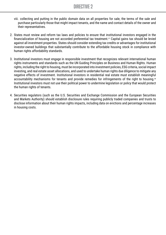- viii. collecting and putting in the public domain data on all properties for sale, the terms of the sale and purchase particularly those that might impact tenants, and the name and contact details of the owner and their representatives.
- 2. States must review and reform tax laws and policies to ensure that institutional investors engaged in the financialization of housing are not accorded preferential tax treatment.57 Capital gains tax should be levied against all investment properties. States should consider extending tax credits or advantages for institutional investor-owned buildings that substantially contribute to the affordable housing stock in compliance with human rights affordability standards.
- 3. Institutional investors must engage in responsible investment that recognizes relevant international human rights instruments and standards such as the UN Guiding Principles on Business and Human Rights. Human rights, including the right to housing, must be incorporated into investment policies, ESG criteria, social impact investing, and real estate asset allocations, and used to undertake human rights due diligence to mitigate any negative effects of investment. Institutional investors in residential real estate must establish meaningful accountability mechanisms for tenants and provide remedies for infringements of the right to housing.<sup>58</sup> Institutional investors must not use their political power to undermine legislation or policy that would protect the human rights of tenants.
- 4. Securities regulators (such as the U.S. Securities and Exchange Commission and the European Securities and Markets Authority) should establish disclosure rules requiring publicly traded companies and trusts to disclose information about their human rights impacts, including data on evictions and percentage increases in housing costs.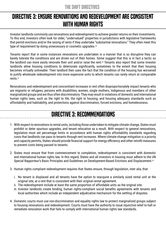## <span id="page-14-0"></span>directive 3: Ensure Renovations and Redevelopment are Consistent WITH HUMAN RIGHTS

Investor landlords commonly use renovations and redevelopment to achieve greater returns on their investments. To this end, investors often look for older, "undervalued" properties in jurisdictions with legislative frameworks that permit evictions and/or the raising of rents if they undertake "substantial renovations." They often meet this type of requirement by doing unnecessary or cosmetic upgrades.<sup>59</sup>

Tenants report that in some instances renovations are undertaken in a manner that is so disruptive they can barely tolerate the conditions and are driven out of their homes. Some suggest that this is in fact a tactic so the landlord can more easily renovate their unit and/or raise the rent.<sup>60</sup> Tenants also report that some investor landlords allow housing conditions to deteriorate significantly, sometimes to the extent that their housing becomes virtually unliveable. Their landlord then uses the fact that the condition of the housing has worsened to justify wholesale redevelopment into more expensive units to which tenants can rarely return at comparable rents.<sup>61</sup>

Renovations and redevelopment and concomitant increases in rent often disproportionately impact tenants who are migrants or refugees, persons with disabilities, women, single mothers, Indigenous and members of other marginalized groups and are thus often discriminatory. They may result in violations of domestic and international human rights laws, such as the right to life, the right to housing, and housing adequacy standards such as affordability and habitability, and protections against discrimination, forced evictions, and homelessness.

### directive 3: Recommendations

- 1. With respect to renovations to rental units, including those undertaken to mitigate climate change, States must prohibit or deter spurious upgrades, and tenant relocation as a result. With respect to general renovations, legislation must set percentage limits in accordance with human rights affordability standards regarding costs that landlords can pass to tenants through rent increases. Where climate-change mitigation is a priority and capacity permits, States should provide financial support for energy efficiency and other retrofit measures to prevent costs being passed to tenants.
- 2. States must ensure that from commencement to completion, redevelopment is consistent with domestic and international human rights law. In this regard, States and all investors in housing must adhere to the UN Special Rapporteur's Basic Principles and Guidelines on Development-Based Evictions and Displacement.<sup>62</sup>
- 3. Human rights compliant redevelopment requires that States ensure, through legislation, inter alia, that:
	- i. No tenant is displaced and all tenants have the option to reacquire a similarly sized rental unit at the original site, at a rent that is consistent with their original rental agreement.
	- ii. The redevelopment include at least the same proportion of affordable units as the original site.
	- iii. Investor landlords create binding, human rights-compliant social benefits agreements with tenants and local authorities which include an independent adjudicative mechanism for the settling of disputes.
- 4. Domestic courts must use non-discrimination and equality rights law to protect marginalized groups subject to housing renovations and redevelopment. Courts must have the authority to issue injunctive relief to halt or remediate renovation work that fails to comply with international human rights law standards.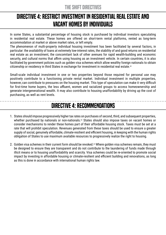## <span id="page-15-0"></span>directive 4: Restrict Investment in Residential Real Estate and Vacant Homes by Individuals

In some States, a substantial percentage of housing stock is purchased by individual investors speculating in residential real estate. These homes are offered on short-term rental platforms, rented as long-term accommodation at market or above market rates, or left empty.

The phenomenon of multi-property individual housing investment has been facilitated by several factors, in particular: the availability of loans at extremely low-interest rates, the stability of and good returns on residential real estate as an investment, the concomitant lack of other avenues for rapid wealth-building and economic security, and cultural norms that affirm using housing as an investment vehicle. In certain countries, it is also facilitated by government policies such as golden visa schemes which allow wealthy foreign nationals to obtain citizenship or residency in third States in exchange for investment in residential real estate.<sup>63</sup>

Small-scale individual investment in one or two properties beyond those required for personal use may positively contribute to a functioning private rental market. Individual investment in multiple properties, however, can contribute to pressures on the housing market. This type of speculation can make it very difficult for first-time home buyers, the less affluent, women and racialized groups to access homeownership and generate intergenerational wealth. It may also contribute to housing unaffordability by driving up the cost of purchasing, as well as rent levels.

## directive 4: Recommendations

- 1. States should impose progressively higher tax rates on purchases of second, third, and subsequent properties, whether purchased by nationals or non-nationals.<sup>64</sup> States should also impose taxes on vacant homes or consider mechanisms to render these homes part of their affordable housing stock. Taxes must be set at a rate that will prohibit speculation. Revenues generated from these taxes should be used to ensure a greater supply of social, genuinely affordable, climate-resilient and efficient housing, in keeping with the human rights obligation of States to use maximum available resources to progressively realize the right to housing.
- 2. Golden visa schemes in their current form should be revoked.<sup>65</sup> Where golden visa schemes remain, they must be designed to ensure they are transparent and do not contribute to the laundering of funds made through illicit means or to housing unaffordability and scarcity. Visa schemes could be re-oriented to promote social impact by investing in affordable housing or climate-resilient and efficient building and renovations, as long as this is done in accordance with international human rights law.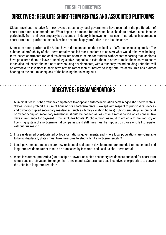#### <span id="page-16-0"></span>directive 5: Regulate Short-Term Rentals and Associated Platforms

Global travel and the drive for new revenue streams by local governments have resulted in the proliferation of short-term rental accommodation. What began as a means for individual households to derive a small income periodically from their own property has become an industry in its own right. As such, institutional investment in short-term rental platforms themselves has become hugely profitable in the last decade.<sup>66</sup>

Short-term rental platforms like Airbnb have a direct impact on the availability of affordable housing stock.<sup>67</sup> The substantial profitability of short-term rentals<sup>68</sup> has led many landlords to convert what would otherwise be longterm leased apartments for local residents into short-term lets for tourists, with tenants reporting that landlords have pressured them to leave or used legislative loopholes to evict them in order to make these conversions.<sup>69</sup> It has also influenced the nature of new housing developments, with a tendency toward building units that will be attractive to investors in short-term rentals rather than of interest to long-term residents. This has a direct bearing on the cultural adequacy of the housing that is being built.

### directive 5: Recommendations

- 1. Municipalities must be given the competence to adopt and enforce legislation pertaining to short-term rentals. States should prohibit the use of housing for short-term rentals, except with respect to principal residences and owner-occupied secondary residences (such as family vacation homes). 'Short-term stays' in principal or owner-occupied secondary residences should be defined as less than a rental period of 28 consecutive days in exchange for payment – this excludes hotels. Public authorities must maintain a formal registry or licensing system of short-term rental companies, and stiff fines must be imposed on those who fail to register without due reason.
- 2. In areas deemed over-touristed by local or national governments, and where local populations are vulnerable to being displaced, States must take measures to strictly limit short-term rentals.<sup>70</sup>
- 3. Local governments must ensure new residential real estate developments are intended to house local and long-term residents rather than to be purchased by investors and used as short-term rentals.
- 4. When investment properties (not principle or owner-occupied secondary residences) are used for short-term rentals and are left vacant for longer than three months, States should use incentives or expropriate to convert the units into long-term rentals.<sup>71</sup>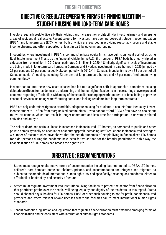## <span id="page-17-0"></span>directive 6: Regulate Emerging Forms of Financialization – Student Housing and Long-Term Care Homes

Investors regularly seek to diversify their holdings and increase their profitability by investing in new and emerging areas of residential real estate. Recent targets for investors have been purpose-built student accommodation (PBSA) and long-term care (LTC) homes, both of which are regarded as providing reasonably secure and stable income streams, and often supported, at least in part, by government funding.

In countries where investment in PBSA is common,<sup>72</sup> private equity firms have built significant portfolios using Real Estate Investment Trusts as the financial vehicle. In the U.S., the number of PBSA beds has nearly tripled in a decade, from one million in 2010 to an estimated 2.8 million in 2020.73 Similarly, significant levels of investment are being made in long-term care homes. In Germany and Sweden, investment in care homes in 2020 jumped by 21 per cent and 80 per cent respectively, compared with 2019.74 In Canada, financial firms own 33 per cent of all Canadian seniors' housing, including 22 per cent of long-term care homes and 42 per cent of retirement living communities.75

Investor capital into these new asset classes has led to a significant shift in approach,<sup>76</sup> sometimes causing deleterious effects for residents and undermining their human rights. Residents in these settings have expressed concerns regarding affordability, with many of these facilities charging exorbitant rents or fees, failing to provide essential services including water,<sup>77</sup> cutting costs, and locking residents into long-term contracts.<sup>78</sup>

PBSA not only undermines rights to affordable, adequate housing for students, it can reinforce inequality. Lowerincome students – often from marginalized communities – who cannot afford PBSA often have no choice but to live off-campus which can result in longer commutes and less time for participation in university-related activities and study.79

The risk of death and serious illness is increased in financialized LTC homes, as compared to public and other private homes, typically on account of cost-cutting/profit increasing staff reductions in financialized settings.<sup>80</sup> A number of recent studies have shown that the health outcomes of people living in financialized LTC homes for older persons during the pandemic have been far worse than for the broader population.<sup>81</sup> In this way, the financialization of LTC homes can breach the right to life.

## directive 6: Recommendations

- 1. States must recognize alternative forms of accommodation including, but not limited to, PBSA, LTC homes, children's care homes,<sup>82</sup> homeless shelters, prisons, and accommodation for refugees and migrants as subject to the standards of international human rights law and specifically, the adequacy standards related to affordability, habitability, and security of tenure.
- 2. States must regulate investment into institutional living facilities to protect the sector from financialization that prioritizes profits over the health, well-being, equality and dignity of the residents. In this regard, States should channel any subsidies for LTC homes, PBSA or other such housing to not-for-profit, non-financialized providers and where relevant revoke licenses where the facilities fail to meet international human rights standards.
- 3. Tenant protection legislation and legislation that regulates financialization must extend to emerging forms of financialization and be consistent with international human rights standards.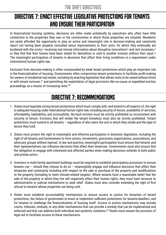## <span id="page-18-0"></span>directive 7: Enact Effective Legislative Protections for Tenants and Ensure Their Participation

In financialized housing systems, decisions are often made unilaterally by executives who often have little connection to the properties they own or the communities in which those properties are situated. Residents are rarely afforded the opportunity to play an active and meaningful role in decision-making and commonly report not having been properly consulted about improvements to their units, for which they eventually are burdened with the costs,<sup>83</sup> receiving last-minute information about disruptive renovations<sup>84</sup> and rent increases,<sup>85</sup> or they find that their homes have been slated for demolition or sold to another investor without their input.<sup>86</sup> The meaningful participation of tenants in decisions that affect their living conditions is a requirement under international human rights law.

Exclusion from decision-making is often compounded by weak tenant protections which play an important role in the financialization of housing. Governments often compromise tenant protections to facilitate profit-making for owners of residential real estate, including by enacting legislation that allows rents to be raised without limits or with tenant turnover,<sup>87</sup> and permitting the exploitation of legal provisions like no-cause or expedited eviction proceedings as a means of increasing rents.<sup>88</sup>

## directive 7: Recommendations

- 1. States must legislate strong tenant protections which must comply with, and extend to all aspects of, the right to adequate housing under international human rights law, including security of tenure, availability of services, affordability, habitability, and accessibility. No-fault eviction must be strictly prohibited as inconsistent with security of tenure. Evictions that will render the tenant homeless must also be strictly prohibited. Tenant protections must extend to all tenants – regardless of who owns the unit in which they reside and the type of tenure they hold.
- 2. States must protect the right to meaningful and effective participation in domestic legislation, including the right of all tenants and homeowners to form unions, movements, grassroots organizations, associations, and advocacy groups without reprisal. In law and practice, meaningful participation must ensure that tenants and their representatives can influence decisions that affect their tenancies. Governments must also ensure that the obligation to engage with interested and affected parties when making decisions extends to both public and private actors.
- 3. Investors in multi-family apartment buildings must be required to establish participatory processes to ensure tenants can – should they choose to do so – meaningfully engage and influence decisions that affect their tenancies and community including with respect to the sale or purchase of the property and modifications to the property (including to meet climate-related targets). Where tenants have a reasonable belief that the sale of the property in which they live will negatively affect their human rights, they must have recourse to administrative or judicial mechanisms to seek relief. States must also consider extending the right of first refusal to tenants whose properties are being sold.
- 4. States must establish accountability mechanisms to ensure access to justice for breaches of tenant protections, the failure of government to enact or implement sufficient protections for tenants/dwellers, and for tenants to challenge the financialization of housing itself. Access to justice mechanisms may include courts, tribunals, ombuds, or any other mechanisms that can provide a remedy that can be implemented and enforced and that can address both individual and systemic violations.89 States must ensure the provision of legal aid to facilitate access to these mechanisms.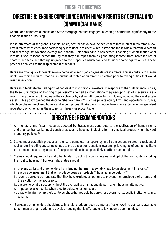## <span id="page-19-0"></span>directive 8: Ensure Compliance with Human Rights by Central and Commercial Banks

Central and commercial banks and State mortgage entities engaged in lending<sup>90</sup> contribute significantly to the financialization of housing.<sup>91</sup>

In the aftermath of the global financial crisis, central banks have helped ensure that interest rates remain low. Low-interest rates encourage borrowing by investors in residential real estate and those who already have wealth and assets against which to leverage more capital. This can lead to "displacement financing"92 where institutional investors secure loans demonstrating that they can repay them by generating income from increased rental charges and fees, and through upgrades to the properties which can lead to higher home equity values. These practices can lead to the displacement of tenants.

Banks are often quick to foreclose on a home when mortgage payments are in arrears. This is contrary to human rights law, which requires that banks pursue all viable alternatives to eviction prior to taking action that would result in eviction.93

Banks also facilitate the selling-off of bad debt to institutional investors. In response to the 2008 financial crisis, the Basel Committee on Banking Supervision<sup>94</sup> adopted an internationally agreed-upon set of measures. As a result, many banks had to increase their solvency by selling off non-performing loans, including their real estate assets. This policy opened the door to "shadow banks,"95 such as private equity firms and opportunistic funds, which purchase foreclosed homes at discount prices. Unlike banks, shadow banks lack external or independent regulation, which enables them to remain largely unaccountable.<sup>96</sup>

## directive 8: Recommendations

- 1. All monetary and fiscal measures adopted by States must contribute to the realization of human rights and thus central banks must consider access to housing, including for marginalized groups, when they set monetary policies.<sup>97</sup>
- 2. States must establish processes to ensure complete transparency in all transactions related to residential real estate, including any terms related to the transaction, beneficial ownership, leveraging of debt to facilitate the transaction, and any aspect of the proposed business plan likely to affect human rights.
- 3. States should require banks and other lenders to act in the public interest and uphold human rights, including the right to housing.<sup>98</sup> For example, States should:
	- i. prevent banks and other lenders from lending that may reasonably lead to displacement financing;<sup>99</sup>
	- ii. encourage investment that will produce deeply affordable<sup>100</sup> housing in perpetuity;<sup>101</sup>
	- iii. require banks to demonstrate that they have explored all options to prevent the foreclosure of a home and the eviction of the household;
	- iv. ensure no eviction occurs without the availability of an adequate permanent housing alternative;
	- v. impose taxes on banks when they foreclose on a home; and
	- vi. enable the right of first refusal to purchase homes sold by banks for governments, public institutions, and, tenants.
- 4. Banks and other lenders should make financial products, such as interest-free or low-interest loans, available to community organizations to develop housing that is affordable to low-income communities.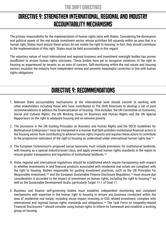## <span id="page-20-0"></span>directive 9: Strengthen International, Regional and Industry Accountability Mechanisms

The primary responsibility for the implementation of human rights rests with States. Considering the dominance and political power of the real estate investment sector, whose activities fall squarely within an area that is a human right, States must ensure these actors do not violate the right to housing. In fact, they should contribute to the implementation of this right. States must be held accountable in this regard.

The voluntary nature of most international and regional business and investment oversight bodies has proven insufficient to ensure human rights outcomes. These bodies have yet to recognize violations of the right to housing as experienced by tenants as an area of concern. Self-monitoring within the real estate and housing sectors insulates the industry from independent review and prevents meaningful correction in line with human rights obligations.

### directive 9: Recommendations

- 1. Relevant State accountability mechanisms at the international level should commit to working with other stakeholders including those who have contributed to The Shift Directives to develop a set of joint recommendations to address the financialization of housing. This includes: the UN Committee on Economic, Social and Cultural Rights, the UN Working Group on Business and Human Rights and the UN Special Rapporteurs on the right to adequate housing and on extreme poverty.
- 2. The provisions in the UN Guiding Principles on Business and Human Rights and the OECD Guidelines for Multinational Enterprises<sup>102</sup> must be interpreted in a manner that both prohibits institutional financial actors in the housing sector from contributing to adverse human rights impacts and requires these actors to contribute to the progressive realization of the right to housing as understood under international human rights law.<sup>103</sup>
- 3. The European Commission's proposed social taxonomy must include provisions for institutional landlords, with housing as a special industry/asset class, and apply universal human rights standards in the region to ensure greater transparency and regulation of institutional landlords.104
- 4. State, regional and international regulations should be established which require transparency with respect to whether investments in and financial products associated with residential real estate are compliant with the right to housing. Bodies responsible for guiding investment practices, such as the UN Principles for Responsible Investment,<sup>105</sup> and the European Sustainable Finance Disclosure Regulation,<sup>106</sup> must ensure due consideration is accorded to the impact of investment on human rights, including the right to housing<sup>107</sup> as well as the Sustainable Development Goals, particularly Target 11.1 of Goal 11.
- 5. Business and finance self-governing bodies must establish independent monitoring and complaint mechanisms with expertise in the human right to housing to ensure any business conducted within the area of residential real estate, including social impact investing or ESG related investment, complies with international and regional human rights standards and obligations.108 The Task Force on Inequality-related Financial Disclosures<sup>109</sup> should consider using human rights to inform its framework and establish a working group on housing.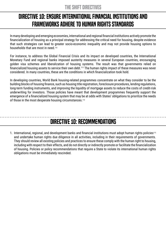## <span id="page-21-0"></span>directive 10: Ensure International Financial Institutions and Frameworks Adhere to Human Rights Standards

In many developing and emerging economies, international and regional financial institutions actively promote the financialization of housing as a principal strategy for addressing the critical need for housing, despite evidence that such strategies can lead to greater socio-economic inequality and may not provide housing options to households that are most in need.110

For instance, to address the Global Financial Crisis and its impact on developed countries, the International Monetary Fund and regional banks imposed austerity measures in several European countries, encouraging golden visa schemes and liberalization of housing systems. The result was that governments relied on financialized housing assets to service their own debt.<sup>111</sup> The human rights impact of these measures was never considered. In many countries, these are the conditions in which financialization took hold.

In developing countries, World Bank housing-related programmes concentrate on what they consider to be the building blocks of housing finance, such as housing title registration, foreclosure procedures, lending regulations, long-term funding instruments, and improving the liquidity of mortgage assets to reduce the costs of credit-risk underwriting for investors. Those policies have meant that development programmes frequently support the emergence of a financialized housing system that may be at odds with States' obligations to prioritize the needs of those in the most desperate housing circumstances.<sup>112</sup>

## directive 10: Recommendations

1. International, regional, and development banks and financial institutions must adopt human rights policies<sup>113</sup> and undertake human rights due diligence in all activities, including in their requirements of governments. They should review all existing policies and practices to ensure these comply with the human right to housing, including with respect to their effects, and do not directly or indirectly promote or facilitate the financialization of housing. Policies or policy recommendations that require a State to violate its international human rights obligations must be immediately rescinded.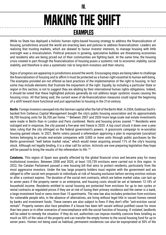#### IV.

## making the shift examples

<span id="page-22-0"></span>While no State has deployed a holistic human rights-based housing strategy to address the financialization of housing, jurisdictions around the world are enacting laws and policies to address financialization. Leaders are realizing that trusting markets, which are skewed to favour investor interests, to manage housing with little oversight was a miscalculation. Political pressure is growing, speculative bubbles are threatening economies and residents who are being priced out of their communities are fighting back. At the same time, the housing crisis created in part through the financialization of housing poses a systemic risk to economic stability, social stability, and therefore is also a systematic risk to long-term investors and their returns.

Signs of progress are appearing in jurisdictions around the world. Encouraging steps are being taken to challenge the financialization of housing and to affirm it must be protected as a human right essential to human well-being. The examples provided are not offered as best practices of the implementation of the right to housing. In fact some may include elements that frustrate the enjoyment of the right. Equally, by including a particular State or region in this section, is not to suggest they are abiding by their international human rights obligations. Indeed, it should be noted that these highlighted policies generally do not address larger systemic issues causing the housing crisis. All that being said, the current wave of de-financialization measures could signal the beginning of a shift toward more functional and just approaches to housing in the 21st-century.

**Berlin**. Foreign investors swooped into the German capital after the fall of the Berlin Wall. In 2004, Goldman Sach'sbacked firm Cerberus Capital Management bought the city's public housing association and its approximately 66,700 housing units for \$6,700 per home.114 Between 2007 and 2020 more large-scale real estate investments were made in Berlin than in London and Paris combined. Rents and housing prices soared.<sup>115</sup> Residents were outraged and in response, the city passed a five-year rent freeze in 2020. A top court struck it down over a year later, ruling that the city infringed on the federal government's powers. A grassroots campaign to re-socialize housing gained steam. In 2021, Berlin voters passed a referendum approving a plan to expropriate (socialize) homes belonging to private real-estate companies with 3,000 or more units through public purchases by the Berlin government "well below market value," which would mean acquiring around 11% of the city's housing stock. Although not legally binding, it is a clear call for action. Activists are now preparing legislation they hope will be passed to bring the results of the referendum to life.<sup>116</sup>

**Catalonia.** This region of Spain was greatly affected by the global financial crisis and became prey for many institutional investors. Between 2008 and 2020, at least 135,739 evictions were carried out in this region. In 2022, the Catalan Parliament passed a new housing bill that aims to protect residents, particularly from the most aggressive investors. Under the law, large property holders must register with the government and are obliged to offer social rent proposals to individuals at risk of housing exclusion before serving eviction notices or after a contract expires. The duration of the social rent contracts, which are below market value, can last up to seven years if the property owner is an enterprise, and housing costs should be set at between 12-18% of household income. Residents entitled to social housing are protected from evictions for up to two cycles or rental contracts at regulated prices if they are at risk of losing their primary residence and the owner is a bank, a large investment fund or owns more than 15 apartments. The new law also includes protection from evictions for vulnerable people who, in the absence of alternatives, are living without legal title in vacant homes owned by banks and investment funds. These owners are also subject to fines if they don't offer "anti-eviction social rentals". Property owners also face penalties if a house has been left vacant without justified cause for more than two years or in other scenarios of noncompliance with the social function of housing. If violated, landlords will be asked to remedy the situation. If they do not, authorities can impose monthly coercive fines totalling as much as 50% of the value of the property and can transfer the empty homes to the social housing fund for up to seven years. Homes not being used as habitual, permanent residences can also be expropriated at 50% of the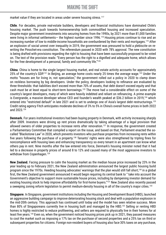market value if they are located in areas under severe housing stress.<sup>117</sup>

**Chile**. For decades, private real-estate builders, developers and financial institutions have dominated Chile's housing market. The push towards homeownership both commodified housing and increased speculation. Despite major government investments into securing homes from the 1990s, by 2021 more than 81,000 families were living in informal settlements— the highest number since 1996.<sup>118</sup> Housing prices continue to rise and an increasing number of low to middle-income households are overburdened by their rents and mortgages.<sup>119</sup> After an explosion of social unrest over inequality in 2019, the government was pressured to hold a plebiscite on rewriting the Pinochet-era constitution. The referendum passed in 2020 with 78% approval. The new constitution is being drafted with provisions regarding the right to housing that have been successfully proposed to be voted on. The text of the provision reads: "Every person has the right to a dignified and adequate home, which allows for the free development of a personal, family and community life."120

**China**. China is home to the single largest housing market, and real estate activity accounts for approximately 25% of the country's GDP.<sup>121</sup> In Beijing, an average home costs nearly 25 times the average wage.<sup>122</sup> Under the motto "houses are for living in, not speculation," the government rolled out a policy in 2020 to clamp down on reckless borrowing by big developers. Under the policy, developers looking to refinance are evaluated by three thresholds: that liabilities don't exceed more than 70% of assets, that debt doesn't exceed equity and that cash must be at least equal to short-term borrowings.123 The move had a considerable effect on some of the country's largest developers, many of which were heavily indebted and reliant on refinancing. A prime example is Evergrande, a massive developer whose CEO and founder's wealth peaked at \$36.2 billion in 2019,<sup>124</sup> which entered into "restricted default" in late 2021 and is set to undergo one of Asia's largest debt restructurings.125 Credit rating agency Fitch anticipates moderate declines of 3% to 5% in China's overall home prices in both 2022 and 2023.126

**Denmark.** For years institutional investors had been buying property in Denmark, with activity increasing sharply after 2009. Investors were driving up rent prices dramatically by taking advantage of a legal provision that allowed owners of older properties to increase rents after renovation.<sup>127</sup> In response, the government created a Parliamentary Committee that compiled a report on the issue, and based on that, Parliament enacted the socalled "Blackstone Law" in 2020, which prevents investors who purchase properties from increasing rents within five years following the purchase of a property.<sup>128</sup> Tenants' rights were also strengthened by tripling fines for noncompliance with housing laws and enhancing transparency so every tenant in an apartment can know what others pay in rent. Nine months after the law entered into force, Denmark's housing minister noted that it had led to a decrease in property prices of around 8 to 12% and caused many of the most aggressive investors to withdraw from Copenhagen.<sup>129</sup>

**New Zealand.** Facing pressure to calm the housing market as the median house price increased by 23% in the year leading up to February 2021, the New Zealand administration announced the largest public housing build program since the 1970s. Heeding housing advocates' warnings that the plan would still fall short,130 in a global first, the New Zealand government announced it would begin requiring its central bank to " take into account the Government's objective to support more sustainable house prices, including by dampening investor demand for existing housing stock to help improve affordability for first-home buyers."<sup>131</sup> New Zealand also recently passed a sweeping zoning reform legislation to permit medium-density housing in all of the country's major cities.<sup>132</sup>

**Singapore**. In Singapore, government institutions including the Housing and Development Board (HBD), launched an aggressive building campaign to improve deteriorating housing stock and deal with a population explosion in the mid-20th century. This approach has continued until today and the model has seen relative success. More than 80% of Singaporeans currently live in housing built and managed by the HBD.<sup>133</sup> Selling or renting HBD homes is highly restricted to reduce profiteering, and sellers are required to physically live in their homes for at least five years.134 Even so, when the government noticed housing prices pick up in 2021, they passed measures to cool the market such as imposing a 17% tax on the purchase of second properties and a 25% tax on third or subsequent properties for citizens. Foreign non-resident buyers of housing also face 30% taxes on any purchase,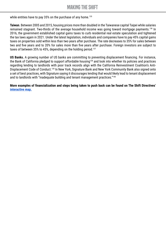while entities have to pay 35% on the purchase of any home.<sup>135</sup>

**Taiwan**. Between 2005 and 2015, housing prices more than doubled in the Taiwanese capital Taipei while salaries remained stagnant. Two-thirds of the average household income was going toward mortgage payments.136 In 2016, the government established capital gains taxes to curb residential real estate speculation and tightened the tax laws again in 2021. Under the latest legislation, individuals and companies have to pay 45% capital gains taxes on properties sold within less than two years after purchase. The rate decreases to 35% for sales between two and five years and to 20% for sales more than five years after purchase. Foreign investors are subject to taxes of between 35% to 45%, depending on the holding period.<sup>137</sup>

**US Banks.** A growing number of US banks are committing to preventing displacement financing. For instance, the Bank of California pledged to support affordable housing<sup>138</sup> and look into whether its policies and practices regarding lending to landlords with poor track records align with the California Reinvestment Coalition's Anti-Displacement Code of Conduct.139 In New York, Signature Bank and New York Community Bank also signed onto a set of best practices, with Signature saying it discourages lending that would likely lead to tenant displacement and to landlords with "inadequate building and tenant management practices."<sup>140</sup>

**More examples of financialization and steps being taken to push back can be found on The Shift Directives' [interactive map.](http://www.make-the-shift.org/directives)**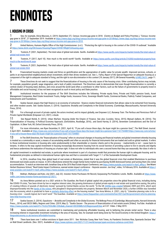## <span id="page-25-0"></span>**ENDNOTES**

#### I. HOUSING IN CRISIS

1 See, for example, Alicia Mazzara, A. (2019, September 27). Census: Income-gap grew in 2018. (Centre on Budget and Policy Priorities.), "Census: Incomegap grew in 2018", 27 September 2019. Available at [https://www.cbpp.org/blog/census-income-rent-gap-grew-in-2018https://www.cbpp.org/blog/census-income-rent](https://www.cbpp.org/blog/census-income-rent-gap-grew-in-2018)[gap-grew-in-2018https://www.cbpp.org/blog/census-income-rent-gap-grew-in-2018](https://www.cbpp.org/blog/census-income-rent-gap-grew-in-2018) 

2 United Nations, Humans Rights Office of the High Commissioner. (n.d.). "*Protecting the right to housing in the context of the COVID-19 outbreak*." Available at<https://www.ohchr.org/EN/Issues/Housing/Pages/COVID19RightToHousing.aspx>

3 Tostevin, P. (2021, September). The total value of global real estate. Savills. Available at [https://www.savills.com/impacts/market-trends/the-total-value-of](https://www.savills.com/impacts/market-trends/the-total-value-of-global-real-estate.html)[global-real-estate.html](https://www.savills.com/impacts/market-trends/the-total-value-of-global-real-estate.html)

4 Tostevin, P. (2017, April 10). How much is the world worth? Savills. Available at [https://www.savills.com/blog/article/216300/residential-property/how](https://www.savills.com/blog/article/216300/residential-property/how-much-is-the-world-worth.aspx)[much-is-the-world-worth.aspx](https://www.savills.com/blog/article/216300/residential-property/how-much-is-the-world-worth.aspx)

5 Tostevin, P. (2021, September). The total value of global real estate. Savills. Available at [https://www.savills.com/impacts/market-trends/the-total-value-of](https://www.savills.com/impacts/market-trends/the-total-value-of-global-real-estate.html)[global-real-estate.html](https://www.savills.com/impacts/market-trends/the-total-value-of-global-real-estate.html)

6 Financialized housing markets create and thrive on gentrification and the appropriation of public value for private wealth. Improved services, schools, or parks in an impoverished neighbourhood attract investment, which then drives residents out. See: L. Farha, *Report of the Special Rapporteur on adequate housing as a*  component of the right to adequate standard of living, and the right to non-discrimination in this context (18 January 2017), UN General Assembly, [A/HRC/34/51,](https://documents-dds-ny.un.org/doc/UNDOC/GEN/G17/009/56/PDF/G1700956.pdf?OpenElement) page 11.

7 These Directives do not seek to suggest that the financialization of housing is the only cause of the housing crisis. Other contributing factors may include, for example, population growth, wage stagnation, and a lack of public investment. The Directives seek to demonstrate that even though financialization is currently a central creator of housing need, distress, and crisis around the world (and often a contributor to other factors, such as the failure of governments to properly invest in affordable and social housing), it has not been recognized as such in most policy and State practice.

8 Institutional investors for the purposes of The Shift Directives includes the following: Private equity firms, Private and Public pension funds, Asset Management Companies, Real Estate Investment Trusts, Hedge funds, Insurance Firms, Sovereign Wealth Funds, Commercial Banks, Publicly Traded Companies, and Endowments and Foundations.

9 Saskia Sassen argues that high finance is an economy of extraction - finance creates financial instruments that allows value to be extracted from housing, and other modest assets. See: Saskia Sassen, S. (2014). Expulsions: Brutality and Complexity in the Global Economy. (Cambridge, Massachusetts, Harvard University Press, 2014).

10 For a thorough account of private capital, the actors involved, and its impact globally, see Empower LLC, *Runaway Train: The Perilous and Pernicious Path of Private Capital Worldwide* (Empower LLC, 2021). e-book.

11 See Raquel Rolnik, R. (2015). Urban Warfare: Housing Under the Empire of Finance. See also: (London, Verso, 2015); Manuel Aalbers, M. (2016). The Financialization of Housing: A Political Economy Approach; (Oxfordshire, Routledge, 2016).; and David Harvey, D. (2014), Seventeen Contradictions and the End of Capitalism. iii (New York, NY, Oxford University Press, 2014).

12 For more information, see Ryan Dezember, R. (2021, April 4). "*If you sell a house these days, the buyer might be a pension fund,*", The Wall Street Journal. 4 April 2021. Available at [https://www.wsj.com/articles/if-you-sell-a-house-these-days-the-buyer-might-be-a-pension-fund-11617544801https://www.wsj.com/articles/](https://www.wsj.com/articles/if-you-sell-a-house-these-days-the-buyer-might-be-a-pension-fund-11617544801) [if-you-sell-a-house-these-days-the-buyer-might-be-a-pension-fund-11617544801](https://www.wsj.com/articles/if-you-sell-a-house-these-days-the-buyer-might-be-a-pension-fund-11617544801)

13 In The Shift Directives, the "financialization of housing" refers to structural changes in housing and financial markets and global investment whereby housing is treated as a commodity or asset, a means of accumulating wealth and often as security for financial instruments that are traded and sold on global markets. It refers to those institutional investors in housing who cater predominantly to their shareholder or investor clients and in the process - inadvertently or not - cause harm to tenants. It refers to the way capital investment in housing increasingly disconnects housing from its social function of providing a place to live in security and dignity and hence undermines the realization of housing as a human right. It does not refer to individuals who own a second home that they use seasonally. Nor does it refer to

all capital investment in residential real estate, in particular where investment is part of a business model that promotes the human right to adequate housing and its fundamental principles as defined in international human rights law and that is consistent with Target 11.1 of the Sustainable Development Goals.

14 In 2016, Jonathan Grey, then global head of real estate at Blackstone, stated that it was the global financial crisis that enabled Blackstone to purchase distressed real estate assets en masse. In 2012, Blackstone entered the single-family home market by purchasing 50,000 distressed homes and turning them into rental accommodation. To watch an interview with Jonathan Grey at the 2016 Real Estate Impact Conference, see [https://www.youtube.com/watch?v=Aynf\\_wRrq-o.](https://www.youtube.com/watch?v=Aynf_wRrq-o) See Miami Herbert Business School, "Real Estate Impact Conference, seereal estate impact conference - Keynote session: Jon Gray", video, 16 February 2016. Available at [https://](https://www.youtube.com/watch?v=Aynf_wRrq-o) [www.youtube.com/watch?v=Aynf\\_wRrq-ohttps://www.youtube.com/watch?v=Aynf\\_wRrq-o](https://www.youtube.com/watch?v=Aynf_wRrq-o)

15 Bokhari, Sheharyar and Katz, Lily (2021, July 22). Investor Home Purchases Hit Record, Surpassing Pre-Pandemic Levels. Redfin. Available at [https://www.](https://www.redfin.com/news/investor-home-purchases-q2-2021/) [redfin.com/news/investor-home-purchases-q2-2021/](https://www.redfin.com/news/investor-home-purchases-q2-2021/).

16 As Anna Minton pointed out in a 2021 article in *The Guardian*, the flood of global capital into properties since the global financial crisis, including during the COVID-19 crisis, "has been driven by low or negative interest rates, the growing dominance of global private equity in real estate and quantitative easing, the policy of creating trillions of pounds of electronic money" pursued by Central Banks across the world. "In the UK [£445bn was created](https://www.bankofengland.co.uk/monetary-policy/quantitative-easing) between 2009 and 2016, which went disproportionately into the [hands of the richest](https://www.theguardian.com/business/economics-blog/2016/sep/28/quantitative-easing-qe-pernicious-effects-favour-wealthy-tax-middle-class), who ploughed it disproportionately into property. Between March and November 2020, a further £450bn was funnelled into the economy, which is predicted to have a [similarly distorting effect](https://committees.parliament.uk/oralevidence/1700/pdf/) on the housing market." See Anna Minton, A. (2021, July 6). "*Liberalise planning rules to fix a housing crisis – sounds logical, but it won't work*." The Guardian. Available at [https://www.theguardian.com/commentisfree/2021/jul/06/government-reforms-planning](https://www.theguardian.com/commentisfree/2021/jul/06/government-reforms-planning-laws-help-housing-crisis)[laws-help-housing-crisis](https://www.theguardian.com/commentisfree/2021/jul/06/government-reforms-planning-laws-help-housing-crisis)

17 Saskia Sassen, S. (2014). *Expulsions –: Brutality and Complexity in the Global Economy*. The Belknap Press of (Cambridge, Massachusetts, Harvard University Press.;, 2014); and OECD SMEs, Regions and Cities. (2019, May 2). "*Saskia Sassen - The process of financialization of real estate assets* [Video]. YouTube. Available at [https://www.youtube.com/watch?v=7Vz2LZYU5c8&t=230s&ab\\_channel=OECDSMEs%2CRegionsandCities](https://www.youtube.com/watch?v=7Vz2LZYU5c8&t=230s&ab_channel=OECDSMEs%2CRegionsandCities) at 3:37. Video. 2 May 2019.

18 Some institutional investors are committed to maintaining and producing affordable housing, and to bettering the private rental sector. There is also increasing interest in responsible investment including in the area of housing. See, for example work being done by The Good Economy in the United Kingdom: [https://](https://thegoodeconomy.co.uk/sectors/affordable-housing) [thegoodeconomy.co.uk/sectors/affordable-housing.](https://thegoodeconomy.co.uk/sectors/affordable-housing)

19 There have been over 1 million evictions in Spain since 2011. See: Nicholas Casey, New York Times, As Pandemic Evictions Rise, Spaniards Declare 'War' on Wall Street Landlords. (Nov. 2021). Available at <https://www.nytimes.com/2021/11/21/world/europe/spain-evictions-cerberus-covid.html>.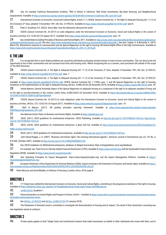20 See, for example California Reinvestment Coalition, "REO to Rental in California: Wall Street Investments, Big Bank *financing*, and Neighbourhood Displacement. Available at <https://calreinvest.org/wp-content/uploads/2018/08/REO-to-Rental-in-California-CRC-June-2015.pdf>

21 International Covenant on Economic, Social and Cultural Rights, Article 11.1; CESCR, *General Comment No. 4: The Right to Adequate Housing (Art. 11 (1) of* 

the Covenant), 6<sup>th</sup> Sess, adopted 13 December 1991, UN. Doc. E/1992/23. Available at <https://www.refworld.org/pdfid/47a7079a1.pdf> para 8.

22 Peter S. Goodman, P.S. (2022). *Davos Man: How the billionaires devoured the world*.

23 CESCR, *General Comment No. 24 (2017) on state obligations under the International Covenant on Economic, Social and Cultural Rights in the context of business activities*, E/C.12/GC/24 (10 August 2017). Available from<https://www.refworld.org/docid/5beaecba4.html> para. 18

24 See, United Nations Guiding Principles of Business and Human Rights, 2011. Available at: [https://www.ohchr.org/sites/default/files/documents/publications/](https://www.ohchr.org/sites/default/files/documents/publications/guidingprinciplesbusinesshr_en.pdf) [guidingprinciplesbusinesshr\\_en.pdf;](https://www.ohchr.org/sites/default/files/documents/publications/guidingprinciplesbusinesshr_en.pdf) See also, [https://www.unglobalcompact.org/what-is-gc/mission/principles/principle-1;](https://www.unglobalcompact.org/what-is-gc/mission/principles/principle-1) See also, Caplan, K. & McCarthy, K. (2019, March 25). *Blackstone's response to communication sent by Special Rapporteur on the right to housing*, UN Human Rights Office of the High Commissioner. Available at [https://www.ohchr.org/Documents/Issues/Housing/Financialization/Reply\\_OL\\_OTH\\_17\\_2019.pdf](https://www.ohchr.org/Documents/Issues/Housing/Financialization/Reply_OL_OTH_17_2019.pdf)

#### II. THE LAW

25 It is recognised that in some States problems are caused by individuals purchasing vacation homes in lower-income communities. This can deny locals the opportunity to live in their communities and can increase local rents and housing costs. Whilst recognizing this as a concern, such purchases fall outside of the scope of The Shift Directives.

26 CESCR, *General Comment No. 4: The Right to Adequate Housing (Art. 11 (1) of the Covenant)*, 6th Sess, adopted 13 December 1991, UN. Doc. E/1992/23. Available at <https://www.refworld.org/pdfid/47a7079a1.pdf> para. 7

27 CESCR, *General Comment No. 4: The Right to Adequate Housing (Art. 11 (1) of the Covenant)*, 6th Sess, adopted 13 December 1991, UN. Doc. E/1992/23.

Available at <https://www.refworld.org/pdfid/47a7079a1.pdf>; CESCR, General Comment No. 7 (1996), para. 1; and UN Special Rapporteur on the right to housing, Guidelines on the implementation on the right to adequate housing, UN Doc. A/HRC/43/43 (26 December 2019), Available at<https://undocs.org/A/HRC/43/43>, para. 30.

28 United Nations, General Assembly, *Report of the Special Rapporteur on adequate housing as a component of the right to an adequate standard of living, and* 

*on the right to non-discrimination in this context, Leilani Farha*, A/HRC/28/62 (22 December 2014). Available at [https://documents-dds-ny.un.org/doc/UNDOC/GEN/](https://documents-dds-ny.un.org/doc/UNDOC/GEN/G14/248/16/PDF/G1424816.pdf?OpenElement) [G14/248/16/PDF/G1424816.pdf?OpenElement](https://documents-dds-ny.un.org/doc/UNDOC/GEN/G14/248/16/PDF/G1424816.pdf?OpenElement)

29 CESCR, *General Comment No. 24 (2017) on state obligations under the International Covenant on Economic, Social and Cultural Rights in the context of business activities*, UN Doc. E/C.12/GC/24 (10 August 2017). Available at <https://www.refworld.org/docid/5beaecba4.html> para. 18

30 Shift & Mazars. (2017). *UN guiding principles reporting framework*. Available at [https://www.ungpreporting.org/wp-content/uploads/](https://www.ungpreporting.org/wp-content/uploads/UNGPReportingFramework_2017.pdf) [UNGPReportingFramework\\_2017.pdf](https://www.ungpreporting.org/wp-content/uploads/UNGPReportingFramework_2017.pdf)

31 See National Action Plans on Business and Human Rights, Available at https://globalnaps.org/

32 OECD. (2011). *OECD guidelines for multinational enterprises*. OECD Publishing. Available at <http://dx.doi.org/10.1787/9789264115415-en> [http://dx.doi.](http://dx.doi.org/10.1787/9789264115415-en) [org/10.1787/9789264115415-en](http://dx.doi.org/10.1787/9789264115415-en)

33 OECD. (2018). OECD guidelines for multinational enterprises: A glass half full. Available at [https://www.oecd.org/investment/mne/OECD-Guidelines-for-](https://www.oecd.org/investment/mne/OECD-Guidelines-for-MNEs-A-Glass-Half-Full.pdf)[MNEs-A-Glass-Half-Full.pdf](https://www.oecd.org/investment/mne/OECD-Guidelines-for-MNEs-A-Glass-Half-Full.pdf)

34 OECD. (2011). *OECD guidelines for multinational enterprises*. Available at<http://dx.doi.org/10.1787/9789264115415-en>

35 John Gerard Ruggie, J. G. (2007). "Business and human rights: The evolving international agenda.", *American Journal of International Law,* vol. *101* No. 4, 819-840. (October 2007). Available at <http://dx.doi.org/10.1017/S0002930000037738>

36 See: OECD Guidelines for Multinational enterprises, database of alleged misconduct, https://mneguidelines.oecd.org/database/

37 For example, see: Task-Force on Climate-related Financial Disclosures (TCFD), Available at <https://www.fsb-tcfd.org/> and the Sustainable Finance Disclosure

Regulation (SFDR). Available at <https://www.eurosif.org/policies/sfdr/>

38 See: Operating Principles for Impact Management <https://www.impactprinciples.org/>and the Impact Management Platform. Available at [https://](https://impactmanagementplatform.org/) [impactmanagementplatform.org/](https://impactmanagementplatform.org/)

39 European Parliament, Policy Department for External Relations (2020), Impact investing in the framework of business and human rights, Available at [https://](https://www.europarl.europa.eu/RegData/etudes/IDAN/2020/603490/EXPO_IDA(2020)603490_EN.pdf) [www.europarl.europa.eu/RegData/etudes/IDAN/2020/603490/EXPO\\_IDA\(2020\)603490\\_EN.pdf](https://www.europarl.europa.eu/RegData/etudes/IDAN/2020/603490/EXPO_IDA(2020)603490_EN.pdf)

40 Peter Marcuse and David Madden, In Defense of Housing, (London, Verso, 2016) page 8.

#### DIRECTIVE 1

41 171 States have ratified the International Covenant on Economic, Social and Cultural Rights, committing to the progressive realization of the right to housing. Available at [https://tbinternet.ohchr.org/\\_layouts/15/TreatyBodyExternal/Treaty.aspx?Treaty=CESCR&Lang=en](https://tbinternet.ohchr.org/_layouts/15/TreatyBodyExternal/Treaty.aspx?Treaty=CESCR&Lang=en)

42 [A/HRC/43/43,](https://documents-dds-ny.un.org/doc/UNDOC/GEN/G19/353/90/PDF/G1935390.pdf?OpenElement) Guideline 1

43 Vienna Declaration on Human Rights and Program of Action, Article 1. Available at [https://www.ohchr.org/en/instruments-mechanisms/instruments/vienna](https://www.ohchr.org/en/instruments-mechanisms/instruments/vienna-declaration-and-programme-action)[declaration-and-programme-action.](https://www.ohchr.org/en/instruments-mechanisms/instruments/vienna-declaration-and-programme-action)

44 See [UN Doc. E/1992/23](https://www.refworld.org/pdfid/47a7079a1.pdf) and [UN Doc. A/HRC/37/53](https://documents-dds-ny.un.org/doc/UNDOC/GEN/G18/007/65/PDF/G1800765.pdf?OpenElement) (15 January 2018).

45 The Parliament of Denmark struck a committee to investigate the financialization of housing and its impact. The result of that closed-door convening was new legislation aimed at curbing it.

#### DIRECTIVE 2

46 Private equity applies to both "hedge funds and institutional investors that make investments on behalf of other individuals who invest with them, and to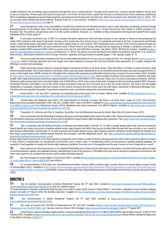wealthy individuals who are making equity investments through their own or pooled vehicles." Through private equity firms, investors provide capital to directly fund or buy out companies. Private equity real estate firms put most or all of their accrued investor capital into housing or commercial real estate, sometimes establishing REITs or subsidiary companies to operate these properties, generating income through rents and other fees, which are securitized. See: Alexander Ferrer, A. (2021). "The just recovery series: Beyond wall street landlords. Strategic Action for a Just Economy." Available at [https://www.saje.net/wp-content/uploads/2021/03/Final\\_A-Just-](https://www.saje.net/wp-content/uploads/2021/03/Final_A-Just-Recovery-Series_Beyond_Wall_Street.pdf)[Recovery-Series\\_Beyond\\_Wall\\_Street.pdf](https://www.saje.net/wp-content/uploads/2021/03/Final_A-Just-Recovery-Series_Beyond_Wall_Street.pdf) page 10

47 Asset Management refers to the consolidation of wealth from institutional and individual investors used to make alternative investments, primarily through leveraged buyouts of non-publicly listed, often (though not always) distressed assets, generally over a 10-year time-horizon. See: Cokelet, B. (2020). Empower LLC, Runaway Train: The perilous and pernicious path of private capital worldwide. Empower, LLC. Available at https://empowerllc.net/eng/private-capital/Private Capital Worldwide (2021), e-book, page 78

48 A real estate investment trust, or REIT, is a company that pools capital from small and large investors to own, operate, or finance income-producing real estate. REITs embrace a wide range of real estate. However, at the current time, their primary focus is on residential real estate in the form of apartments (multi-family homes), single-family homes, and mobile homes. Most REITs publicly trade on stock markets. REIT shareholders earn a portion of the income produced through real estate investment. Residential REITs are most commonly found in North America and Europe, although they are beginning to emerge in peripheral economies. For example, residential REITs represent US\$3.5 trillion in assets across the U.S. and €450 billion in Europe. See: Nareit. (2022). REITS by the numbers. Available at [https://](https://www.reit.com/data-research/data/reits- numbers) [www.reit.com/data-research/data/reits- numbers](https://www.reit.com/data-research/data/reits- numbers) and Stevenson, S. (2013). The global real estate investment trust market: Development and growth. In R. Sotelo & S. McGreal (Eds.), Real estate investment trusts in Europe: Evolution, regulation, and opportunities for growth (pages 17-25). Springer. pages 18–19

49 These are private real estate companies that may be listed publicly but which do not use a trust or equity structure. For example, Vonovia [https://investoren.](https://investoren.vonovia.de/) [vonovia.de/](https://investoren.vonovia.de/) based in Germany represents one of the largest real estate companies in Europe with more than 560,000 rental apartments. It is a public company with offerings on several stock exchanges.

50 Public and private pension funds are among the biggest institutional investors in all asset classes. They hold trillions of dollars in assets and have a huge impact on global markets. Some invest directly in real estate, some create real estate subsidiaries to do so, and others use private equity and asset management firms to invest on their behalf. (See: SHARE, Investors for Affordable Cities, Responsible investment and affordable rental housing in Canada, Discussion Paper (2021). Available at: https://share.ca/wp-content/uploads/2021/10/SHARE-InvestorsForAffordableCities-2021.pdf. Some examples of pension fund investment in residential real estate include: ABP, a large Dutch pension fund whose capital amounted to more than €460 billion in 2019, allocates 10 per cent of its fund to real estate investments. CalPERS, California's public pension fund, had a total fund market value of \$354 billion in 2018. It has various funds under management that are heavily invested in REITs. Norway's Government Pension Fund Global is one of the world's largest investment funds and one of Europe's most active real estate investors. The fund is also the largest shareholder in Caixabank, a Spanish bank that is known for the eviction of tenants from their homes and is the ninth largest shareholder of Blackstone Mortgage Trust. The latter owns and operates thousands of apartments around the world, consistently raising rents and evicting tenants.

51 Brumer-Smith, L. (8<sup>th</sup> June 2021). Americans are competing with private equity firms for homes. Million Acres. Available at [https://www.msn.com/en-us/](https://www.msn.com/en-us/money/realestate/americans-are-competing-with-private-equity-firms-for-homes/ar-AAKPS7v) [money/realestate/americans-are-competing-with-private-equity-firms-for-homes/ar-AAKPS7v](https://www.msn.com/en-us/money/realestate/americans-are-competing-with-private-equity-firms-for-homes/ar-AAKPS7v)

52 Daniela Gabor and Sebastian Kohl (2022), The Financialization of Housing in Europe: "My Home is an Asset Class", pages 44, 52-53. [http://extranet.](http://extranet.greens-efa-service.eu/public/media/file/1/7461) [greens-efa-service.eu/public/media/file/1/7461](http://extranet.greens-efa-service.eu/public/media/file/1/7461). See also: ACORN, (2021). Rein in the REITS. Available at [https://acorncanada.org/sites/default/files//Rein%20in%20](https://acorncanada.org/sites/default/files//Rein in the REITs_English_0.pdf) [the%20REITs\\_English\\_0.pdf](https://acorncanada.org/sites/default/files//Rein in the REITs_English_0.pdf); Price Waterhouse Cooper, (2019). Worldwide Real Estate Investment Trust (REITs) Regimes. Available at [https://www.pwc.com/gx/en/](https://www.pwc.com/gx/en/asset-management/assets/pdf/worldwide-reit-regimes-nov-2019.pdf) [asset-management/assets/pdf/worldwide-reit-regimes-nov-2019.pdf](https://www.pwc.com/gx/en/asset-management/assets/pdf/worldwide-reit-regimes-nov-2019.pdf)

53 Proposition 10, California; and Peter S. Goodman. Davos Man: How the Billionaires Devoured the World. (New York, NY, Custom House, 2022).

54 This is consistent with the UN Guiding Principles on Business and Human Rights which state at Principle 2 that: "States should set out clearly the expectation that all business enterprises domiciled in their territory and/or jurisdiction respect human rights throughout their operations." See, [https://www.ohchr.org/sites/default/](https://www.ohchr.org/sites/default/files/documents/publications/guidingprinciplesbusinesshr_en.pdf) [files/documents/publications/guidingprinciplesbusinesshr\\_en.pdf](https://www.ohchr.org/sites/default/files/documents/publications/guidingprinciplesbusinesshr_en.pdf)

55 This is consistent with UN Guiding Principles on Business and Human Rights, Principle 18, "In order to gauge human rights risks, business enterprises should identify and assess any actual or potential adverse human rights impacts with which they may be involved either through their own activities or as a result of their business relationships" and Principle 19, "In order to prevent and mitigate adverse human rights impacts, business enterprises should integrate the findings from their impact assessments across relevant internal functions and processes, and take appropriate action". See, [https://www.ohchr.org/sites/default/files/documents/](https://www.ohchr.org/sites/default/files/documents/publications/guidingprinciplesbusinesshr_en.pdf) [publications/guidingprinciplesbusinesshr\\_en.pdf](https://www.ohchr.org/sites/default/files/documents/publications/guidingprinciplesbusinesshr_en.pdf)

Human rights impact assessments of purchase and sale of properties could include, an audit of tenants requiring particular human rights protections against increases in rent, eviction or displacement, for example due to low-income, race or ethnic origin, or marital/family status; and transparency regarding building upgrades, the necessity of such upgrades to comply with human rights adequacy standards, the actual cost of the upgrades and the plan to ensure no one is displaced as a result.

56 Such schemes are notoriously abused, so it is imperative that States ensure these units are allocated in a fair manner consistent with human rights principles of non-discrimination, equality, and adequate housing. Cash payments in lieu of the provision of affordable units must only be allowed in exceptional circumstances and where cash payments are accepted they must be used to create affordable housing.

57 See, The Principles for Human Rights in Fiscal Policy (2021). Available at [https://derechosypoliticafiscal.org/images/ASSETS/Principles\\_for\\_Human\\_Rights\\_](https://derechosypoliticafiscal.org/images/ASSETS/Principles_for_Human_Rights_in_Fiscal_Policy-ENG-VF-1.pdf) [in\\_Fiscal\\_Policy-ENG-VF-1.pdf](https://derechosypoliticafiscal.org/images/ASSETS/Principles_for_Human_Rights_in_Fiscal_Policy-ENG-VF-1.pdf); [A/HRC/43/43,](https://documents-dds-ny.un.org/doc/UNDOC/GEN/G19/353/90/PDF/G1935390.pdf?OpenElement) para 69(a)(vi)

58 For recommendations of this nature see: Sara Blackwell and others, Investor toolkit on human rights, Investor Alliance for Human Rights, Investor Toolkit on Human Rights (2021). Available at [https://investorsforhumanrights.org/sites/default/files/attachments/2020-05/Full%20Report-%20Investor%20Toolkit%20on%20](https://investorsforhumanrights.org/sites/default/files/attachments/2020-05/Full Report- Investor Toolkit on Human Rights May 2020c.pdf) [Human%20Rights%20May%202020c.pdf;](https://investorsforhumanrights.org/sites/default/files/attachments/2020-05/Full Report- Investor Toolkit on Human Rights May 2020c.pdf) and SHARE, Investors for Affordable Cities, Responsible investment and affordable rental housing in Canada, Discussion Paper (2021).

#### DIRECTIVE 3

59 See, for example, Communication to Akelius Residential Property AB, 27<sup>th</sup> April 2020. Available at [https://spcommreports.ohchr.org/TMResultsBase/](https://spcommreports.ohchr.org/TMResultsBase/DownLoadPublicCommunicationFile?gId=25199) [DownLoadPublicCommunicationFile?gId=25199;](https://spcommreports.ohchr.org/TMResultsBase/DownLoadPublicCommunicationFile?gId=25199) See also, Martine August

The financialization of Canadian multi-family rental housing: From trailer to tower (2020) Journal of Urban Affairs 1; Teviah Moro, 'Residents of east Hamilton buildings declare rent strike (2<sup>nd</sup> March 2020) The Hamilton Spectator. Available at [https://www.thespec.com/news/hamilton-region/2018/04/26/residents-of-east-hamilton](https://www.thespec.com/news/hamilton-region/2018/04/26/residents-of-east-hamilton-buildings-declare-rent-strike.html)[buildings-declare-rent-strike.html](https://www.thespec.com/news/hamilton-region/2018/04/26/residents-of-east-hamilton-buildings-declare-rent-strike.html)

60 See, Communication to Akelius Residential Property AB, 27<sup>th</sup> April 2020, Available at [https://spcommreports.ohchr.org/TMResultsBase/](https://spcommreports.ohchr.org/TMResultsBase/DownLoadPublicCommunicationFile?gId=25199) [DownLoadPublicCommunicationFile?gId=25199](https://spcommreports.ohchr.org/TMResultsBase/DownLoadPublicCommunicationFile?gId=25199)

61 See, Letter of Concern from The Shift to Pemberstone Ltd, 25<sup>th</sup> June 2021. Available at [https://make-the-shift.org/wp-content/uploads/2021/07/Letter-to-](https://make-the-shift.org/wp-content/uploads/2021/07/Letter-to-Pemberstone-from-The-Shift-250621.pdf)[Pemberstone-from-The-Shift-250621.pdf](https://make-the-shift.org/wp-content/uploads/2021/07/Letter-to-Pemberstone-from-The-Shift-250621.pdf) ; See also, Save Our Homes LS26 Campaign, <https://saveourhomesls26.org/page/2/,>post of 7<sup>th</sup> August 2021

62 United Nations, General Assembly, *Implementation of General Assembly Resolution 60/251 of 15 March 2006, Entitled "Human Rights Council"*, A/HRC/4/18 (5 February 2007). Available at<https://documents-dds-ny.un.org/doc/UNDOC/GEN/G07/106/28/PDF/G0710628.pdf?OpenElement>; Miloon Kothari, UN Special Rapporteur on the Right to Housing, [A/HRC/4/18](https://documents-dds-ny.un.org/doc/UNDOC/GEN/G07/106/28/PDF/G0710628.pdf?OpenElement)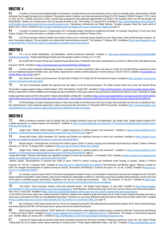#### DIRECTIVE 4

 $63\,$  A number of countries have adopted golden visa schemes to revitalize their tourism and real estate sectors, which are mutually reliant. Approximately 100,000 individuals have bought European Union residency. The greatest number of golden visas have been granted in Spain (24,755), Hungary (19,838), Portugal (17,521), Latvia (17,342), the U.K. (10,445), and Greece (7,565). Overall, these programmes have generated approximately €25 billion in the European Union over the last decade. See Daniel Boffey, "Golden visa' schemes pose risk to EU security, Brussels to say", The Guardian, 22 January 2019. Available at [https://www.theguardian.com/world/2019/](https://www.theguardian.com/world/2019/jan/22/golden-visa-schemes-pose-risk-to-eu-security-brussels-to-say) [jan/22/golden-visa-schemes-pose-risk-to-eu-security-brussels-to-say](https://www.theguardian.com/world/2019/jan/22/golden-visa-schemes-pose-risk-to-eu-security-brussels-to-say); Transparency International and Global Witness, "European getaway: Inside the murky world of golden visas", (2018). Available at [https://images.transparencycdn.org/images/2018\\_report\\_GoldenVisas\\_English.pdf](https://images.transparencycdn.org/images/2018_report_GoldenVisas_English.pdf) page 14.

64 A number of countries impose a "foreign buyers' tax" to dissuade foreign investment in residential real estate. For example, Hong Kong (1.5 to 8.5 per cent); Ontario, Canada (15%) unless the buyer is a student, works in, or is a permanent resident of Ontario; China.

65 The UK has recently revoked its Golden Visa scheme citing its role is assisting foreign nationals to move 'dirty money', often earned through corruption, offshore. See Aubrey Allegretti, "UK axes 'golden visa' scheme after fraud and Russia concerns", The Guardian, 17 February 2022. Available at [https://www.theguardian.com/](https://www.theguardian.com/uk-news/2022/feb/17/uk-ministers-plan-to-scrap-golden-visa-scheme-amid-russia-concerns) [uk-news/2022/feb/17/uk-ministers-plan-to-scrap-golden-visa-scheme-amid-russia-concerns](https://www.theguardian.com/uk-news/2022/feb/17/uk-ministers-plan-to-scrap-golden-visa-scheme-amid-russia-concerns)

#### DIRECTIVE 5

66 For a list of Airbnb shareholders, see MarketBeat, "Airbnb institutional ownership". Available at [https://www.marketbeat.com/stocks/NASDAQ/ABNB/](https://www.marketbeat.com/stocks/NASDAQ/ABNB/institutional-ownership/) [institutional-ownership/](https://www.marketbeat.com/stocks/NASDAQ/ABNB/institutional-ownership/). Shadow bank Morgan Stanley owns the greatest number of shares, at 1,471,065.

67 See A/HRC/34/51 [at](https://corporateeurope.org/sites/default/files/unfairbnb.pdf) para 28; See also Corporate Europe Observatory, "UnFairbnb: How online rental platforms use the EU to defeat cities' affordable housing

measures" (2018). Available at <https://corporateeurope.org/sites/default/files/unfairbnb.pdf>

 $68$  A recent study conducted in Mississauga, Ontario, a city west of Toronto, found that it takes only seven to 14 days for an Airbnb listing to generate as much rent as a traditional long-term monthly lease. See Fairbnb, "Squeezed Out: Airbnb's commercialization of home sharing in Toronto" (2017). Available at www[.fairbnb.ca/](https://fairbnb.ca/Fairbnb_Report_Feb_29.pdf) [Fairbnb\\_Report\\_Feb\\_29.pdf](https://fairbnb.ca/Fairbnb_Report_Feb_29.pdf), page 31

69 See, Steven Hill, 'Evictions and Conversions: The Dark Side of Airbnb' (19th October 2015) The American Prospect. Available at [https://prospect.org/economy/](https://prospect.org/economy/evictions-conversions-dark-side-airbnb/) [evictions-conversions-dark-side-airbnb/](https://prospect.org/economy/evictions-conversions-dark-side-airbnb/)

70 The city of Amsterdam adopted this approach and was taken to court by local businesses. The matter remains before the courts; see Hannah Rivera,

"Amsterdam to appeal against ruling on Airbnb listings", Short Term Rentalz, 18 April 2021. Available at <https://shorttermrentalz.com/news/amsterdam-appeal-airbnb/>. Rental of apartments in Palma de Mallorca for holidays has been prohibited for three years unless a tourism license is obtained; see Patricia Lozano, "Bookings for illegal

holiday apartment rentals at 25% for the summer", Majorca Daily Bulletin, 26 May 2021. Available at <u>[https://www.majorcadailybulletin.com/news/local/2021/05/26/84551/](https://www.majorcadailybulletin.com/news/local/2021/05/26/84551/palma-mallorca-bookings-for-illegal-holiday-apartment-rentals.html#:~:text=Holiday rental of apartments has,for June they are 40%25)</u> [palma-mallorca-bookings-for-illegal-holiday-apartment-rentals.html#:~:text=Holiday%20rental%20of%20apartments%20has,for%20June%20they%20are%2040%25.](https://www.majorcadailybulletin.com/news/local/2021/05/26/84551/palma-mallorca-bookings-for-illegal-holiday-apartment-rentals.html#:~:text=Holiday rental of apartments has,for June they are 40%25)

71 In 2020 the Mayor of Lisbon incentivized owners of short-term rentals to rent their units to the City of Lisbon who would then rent the units at subsidized rates. See: Ashifa Kassam, 'Covid created an opportunity': Lisbon to turn tourist flats into homes, (1<sup>st</sup> December 2020) The Guardian. Available at [https://www.theguardian.com/](https://www.theguardian.com/world/2020/dec/01/covid-created-an-opportunity-lisbon-turns-20000-tourist-flats-into-homes) [world/2020/dec/01/covid-created-an-opportunity-lisbon-turns-20000-tourist-flats-into-homes.](https://www.theguardian.com/world/2020/dec/01/covid-created-an-opportunity-lisbon-turns-20000-tourist-flats-into-homes)

#### DIRECTIVE 6

72 PBSA is common in countries such as Canada, USA, UK, Australia, Germany, France and The Netherlands. See, Knight Frank, "Global student property 2019: A global perspective on student property and investment". Available at [https://content.knightfrank.com/research/1775/documents/en/global-student-property-report-](https://content.knightfrank.com/research/1775/documents/en/global-student-property-report-2019-may-2019-6426.pdf)[2019-may-2019-6426.pdf](https://content.knightfrank.com/research/1775/documents/en/global-student-property-report-2019-may-2019-6426.pdf)

73 Knight Frank, "Global student property 2019: A global perspective on student property and investment". Available at [https://content.knightfrank.com/](https://content.knightfrank.com/research/1775/documents/en/global-student-property-report-2019-may-2019-6426.pdf) [research/1775/documents/en/global-student-property-report-2019-may-2019-6426.pdf](https://content.knightfrank.com/research/1775/documents/en/global-student-property-report-2019-may-2019-6426.pdf) page 21.

74 Europe Real Estate. (2020, November 25). *Germany and Sweden see significant increases in home care investment*. Available at [https://europe-re.com/](https://europe-re.com/germany-and-sweden-see-significant-increases-in-care-home-investment/68536) [germany-and-sweden-see-significant-increases-in-care-home-investment/68536](https://europe-re.com/germany-and-sweden-see-significant-increases-in-care-home-investment/68536)

75 Martine August, "Financialization of housing from cradle to grave: COVID-19, seniors' housing and multifamily rental housing in Canada", *Studies in Political Economy*, vol. 102, No. 3 (January 2022). Available at<https://doi.org/10.1080/07078552.2021.2000207>

76 Knight Frank, "Global student property 2019: A global perspective on student property and investment". Available at [https://content.knightfrank.com/](https://content.knightfrank.com/research/1775/documents/en/global-student-property-report-2019-may-2019-6426.pdf) [research/1775/documents/en/global-student-property-report-2019-may-2019-6426.pdf](https://content.knightfrank.com/research/1775/documents/en/global-student-property-report-2019-may-2019-6426.pdf) page 21.

Europe Real Estate. "Germany and Sweden see significant increases in home care investment", 25 November 2020. Available at [https://europe-re.com/germany-and](https://europe-re.com/germany-and-sweden-see-significant-increases-in-care-home-investment/68536)[sweden-see-significant-increases-in-care-home-investment/68536](https://europe-re.com/germany-and-sweden-see-significant-increases-in-care-home-investment/68536)

 Martine August, "Financialization of housing from cradle to grave: COVID-19, seniors' housing and multifamily rental housing in Canada", *Studies in Political Economy*, vol. 102, No. 3 (January 2022). Available at [https://doi.org/10.1080/07078552.2021.2000207;](https://doi.org/10.1080/07078552.2021.2000207) Nick Revington and Martine August, "Making a market for

itself: The emergent financialization of student housing in Canada", *Environment and Planning A: Economy and Space*, vol. 52, No. 5 (2020). Available at [http://dx.doi.](http://dx.doi.org/10.1177/0308518X19884577) [org/10.1177/0308518X19884577](http://dx.doi.org/10.1177/0308518X19884577)

77 For example, several London School of Economics postgraduate students living in accommodation owned by the university but managed by one of the UK's largest student housing REITs, Unite Students, were forced to litigate the substandard conditions in which they were living including rodent infestation, mould, and a lack<br>of hot water for extended periods; Sarah Marsh, "S of hot water for extended periods; Sarah Marsh, "Students to sue LSE over 'mouldy and mice-infested [theguardian.com/education/2017/jul/16/students-sue-london-school-economics-mould-rat-infested-accommodation](https://www.theguardian.com/education/2017/jul/16/students-sue-london-school-economics-mould-rat-infested-accommodation)

78 Jeff Collins, "Zoom university' students stuck with unwanted leases", The Orange County Register, 19 June 2020. Available at [https://www.ocregister.](https://www.ocregister.com/2020/06/19/zoom-university-students-stuck-with-unwanted-leases/) [com/2020/06/19/zoom-university-students-stuck-with-unwanted-leases/](https://www.ocregister.com/2020/06/19/zoom-university-students-stuck-with-unwanted-leases/); Noah Biesiada, "Student protests spur Irvine City Council to discuss rent and housing options", Voice of OC, 4 June 2020. Available at <https://voiceofoc.org/2020/06/student-protests-spur-irvine-city-council-to-discuss-rent-and-housing-options/>

In the US the Irvine Group, which owns student housing in California, students who needed to break their leases due to Covid-19 were charged termination fees that, in some cases, amounted to \$15,000, see: Sara Myklebust and others, "Cashing in on our homes: Billionaire landlords profit as millions face eviction", March 2021. Available at <https://ourfinancialsecurity.org/wp-content/uploads/2021/03/Cashing-in-on-Our-Homes-FINAL.pdf>, page 18.

79 See: Ali Breland, "If the Tuition Doesn't Get You, The Cost of Student Housing Will", Bloomberg Businessweek Feature (August, 2019), https://www.bloomberg. com/news/features/2019-08-13/if-the-tuition-doesn-t-get-you-the-cost-of-student-housing-will

80 Shiloh Krupar and Amina Sadural, "COVID "death pits": US nursing homes, racial capitalism, and the urgency of antiracist eldercare", *Environment and Planning C: Politics and Space* (2022). Available at <https://journals.sagepub.com/doi/pdf/10.1177/23996544211057677>; Jackie Brown, "The dangers of financialized long-term care", Healthy Debate, 20 January 2021. Available at <https://healthydebate.ca/2021/01/topic/dangers-financialized-long-term-care/>

81 A recent U.S.-based study found that private equity ownership increases the short-term mortality of Medicare patients by 10 per cent. See: Eileen O'Grady, "Pulling back the veil on today's private equity ownership of nursing homes", Private Equity Stakeholder Project, July 2021. Available at [https://pestakeholder.org/wp-](https://pestakeholder.org/wp-content/uploads/2021/07/PESP_Report_NursingHomes_July2021.pdf)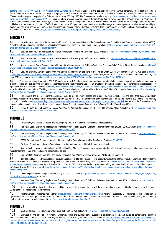[content/uploads/2021/07/PESP\\_Report\\_NursingHomes\\_July2021.pdf](https://pestakeholder.org/wp-content/uploads/2021/07/PESP_Report_NursingHomes_July2021.pdf). In Ontario, Canada, at the beginning of the Coronavirus pandemic, 48 per cent of deaths in for-profit homes occurred in those owned by private equity or other financial actors even though that sector owns only 30 per cent of private beds, See, Martine August, 'The coronavirus exposes the perils of profit in seniors' housing' 26<sup>th</sup> July 2020, The Conversation. Available at: [https://theconversation.com/the-coronavirus-exposes](https://theconversation.com/the-coronavirus-exposes-the-perils-of-profit-in-seniors-housing-141915)[the-perils-of-profit-in-seniors-housing-141915](https://theconversation.com/the-coronavirus-exposes-the-perils-of-profit-in-seniors-housing-141915). Similarly, a study by Americans for Financial Reform found that, in New Jersey, 58.8 per cent of private equity-owned nursing home residents contracted COVID-19, a figure that was 24.5 per cent higher than the state-wide nursing home average and 57 per cent higher than the figure for publicly owned and operated facilities. COVID-19 fatality rates were 10.2 per cent higher than the state-wide average at private equity-run care homes and were higher than at both non-profit and for-profit homes, See, Americans for Financial Reform Education Fund, "The Deadly Combination of Private Equity and Nursing Homes During A Pandemic" (2020). Available at <https://ourfinancialsecurity.org/2020/08/report-3-private-equity-nursing-homes-coronavirus/>

#### DIRECTIVE 7

82 For an interesting article on the deleterious effects of corporate ownership of children's care homes see: Claire Methven O'Brien and Rebekah Wilson, (2022). "Private Equity and Children's Care Homes: a socially responsible investment?" in Open Global Rights. Available at [https://www.openglobalrights.org/private-equity-and](https://www.openglobalrights.org/private-equity-and-child-care-homes-a-socially-responsible-investment/)[child-care-homes-a-socially-responsible-investment/](https://www.openglobalrights.org/private-equity-and-child-care-homes-a-socially-responsible-investment/)

83 See, for example, Communication to Akelius Residential Property AB, 27<sup>th</sup> April 2020. Available at [https://spcommreports.ohchr.org/TMResultsBase/](https://spcommreports.ohchr.org/TMResultsBase/DownLoadPublicCommunicationFile?gId=25199) [DownLoadPublicCommunicationFile?gId=25199](https://spcommreports.ohchr.org/TMResultsBase/DownLoadPublicCommunicationFile?gId=25199)

84 See, for example, Communication to Akelius Residential Property AB, 27<sup>th</sup> April 2020. Available at [https://spcommreports.ohchr.org/TMResultsBase/](https://spcommreports.ohchr.org/TMResultsBase/DownLoadPublicCommunicationFile?gId=25199) [DownLoadPublicCommunicationFile?gId=25199](https://spcommreports.ohchr.org/TMResultsBase/DownLoadPublicCommunicationFile?gId=25199)

85 See, for example, Sonya Dowsett, 'Special Report: Why Madrid's poor fear Goldman Sachs and Blackstone' (24th October 2014) Reuters. Available at [https://](https://www.reuters.com/article/us-spain-housing-specialreport-idUSKCN0ID0GP20141024) [www.reuters.com/article/us-spain-housing-specialreport-idUSKCN0ID0GP20141024](https://www.reuters.com/article/us-spain-housing-specialreport-idUSKCN0ID0GP20141024)

86 See, for example, Communication from the Special Rapporteur on the right to housing to Credit Suisse (25<sup>th</sup> November 2019). Available at [https://](https://spcommreports.ohchr.org/TMResultsBase/DownLoadPublicCommunicationFile?gId=24907) spcommreports.ohchr.org/TMResultsBase/DownLoadPublicCommunicationFile?gld=24907; See also, See, Letter of Concern from The Shift to Pemberstone Ltd, 25<sup>th</sup> June 2021. Available at<https://make-the-shift.org/wp-content/uploads/2021/07/Letter-to-Pemberstone-from-The-Shift-250621.pdf>

87 This was highlighted during the COVID-19 pandemic in the U.S., where, despite an eviction moratorium being in place, financialized landlords were able to exploit gaps and ambiguities in the regulation to legally file evictions against tenants. See, ----, 'US private equity landlord seeking to evict renters despite ban: report' 16<sup>th</sup> April 2021, The Business Times. Available at <https://www.businesstimes.com.sg/real-estate/us-private-equity-landlord-seeking-to-evict-renters-despite-ban-report>; See also, Sara Myklebust and others, "Cashing in on our homes: Billionaire landlords profit as millions face eviction", March 2021. Available at [https://ourfinancialsecurity.](https://ourfinancialsecurity.org/wp-content/uploads/2021/03/Cashing-in-on-Our-Homes-FINAL.pdf) [org/wp-content/uploads/2021/03/Cashing-in-on-Our-Homes-FINAL.pdf](https://ourfinancialsecurity.org/wp-content/uploads/2021/03/Cashing-in-on-Our-Homes-FINAL.pdf) pages 7–8.

88 For example, the Irish government has rejected calls to provide lifetime leases and stronger eviction protections on the basis that these would likely dissuade investors from purchasing Irish residential property. See Rory Hearne, "The government does not want you to be able to afford to buy a home", The Journal, 5 May 2021. Available at [https://www.thejournal.ie/readme/ireland-investment-housing-5428746-May2021/?utm\\_source=shortlink.](https://www.thejournal.ie/readme/ireland-investment-housing-5428746-May2021/?utm_source=shortlink) For more on the financialization of housing and its impact in Ireland, see Rory Hearne, *Housing Shock: The Irish Housing Crisis and How to Solve It* (Bristol, Policy Press, 2020).

89 United Nations, General Assembly, *Access to justice for the right to housing*, A/HRC/40/61 (15 January 2019). Available at [https://daccess-ods.un.org/](https://daccess-ods.un.org/access.nsf/Get?OpenAgent&DS=A/HRC/40/61&Lang=E) [access.nsf/Get?OpenAgent&DS=A/HRC/40/61&Lang=E](https://daccess-ods.un.org/access.nsf/Get?OpenAgent&DS=A/HRC/40/61&Lang=E)

#### DIRECTIVE 8

90 For example, the Canada Mortgage and Housing Corporation; or in the U.S., Fannie Mae and Freddie Mac.

91 See, Kevin Stein, "Disrupting displacement financing in Oakland and beyond", California Reinvestment Coalition, June 2018. Available at [https://calreinvest.](https://calreinvest.org/wp-content/uploads/2018/07/Disrupting-Displacement-Financing.pdf) [org/wp-content/uploads/2018/07/Disrupting-Displacement-Financing.pdf](https://calreinvest.org/wp-content/uploads/2018/07/Disrupting-Displacement-Financing.pdf)

92 See, Kevin Stein, "Disrupting displacement financing in Oakland and beyond", California Reinvestment Coalition, June 2018. Available at [https://calreinvest.](https://calreinvest.org/wp-content/uploads/2018/07/Disrupting-Displacement-Financing.pdf) [org/wp-content/uploads/2018/07/Disrupting-Displacement-Financing.pdf](https://calreinvest.org/wp-content/uploads/2018/07/Disrupting-Displacement-Financing.pdf)

93 CESCR Committee on Economic, Social and Cultural Rights, General Comment No. 7 on Forced Evictions, [E/1998/22.](https://www.refworld.org/docid/47a70799d.html)

94 The Basel Committee on Banking Supervision is the international oversight body for commercial banks.

95 Shadow banks provide an alternative to traditional banking. They don't have customers who make deposits. Instead, they rely on other short-term funds to make longer-term loans. Their funds come from investor dollars.

96 Empower LLC, *Runaway Train: The Perilous and Pernicious Path of Private Capital Worldwide* (2021), e-book, page 128.

97 New Zealand has recently instructed its Reserve Bank to ensure it takes house prices into account when setting interest rates. See Grant Robertson, "Reserve Bank to take account of housing in decision making", New Zealand Government, 25 February 2021. Available at [https://www.beehive.govt.nz/release/reserve-bank-take](https://www.beehive.govt.nz/release/reserve-bank-take-account-housing-decision-making)[account-housing-decision-making](https://www.beehive.govt.nz/release/reserve-bank-take-account-housing-decision-making) and Tyler Powell and David Wessel, "Why is the New Zealand government telling its central bank to focus on rising house prices?", Brookings, 2 April 2021. Available at [https://www.brookings.edu/blog/up-front/2021/04/02/why-is-the-new-zealand-government-telling-its-central-bank-to-focus-on](https://www.brookings.edu/blog/up-front/2021/04/02/why-is-the-new-zealand-government-telling-its-central-bank-to-focus-on-rising-house-prices/)[rising-house-prices/.](https://www.brookings.edu/blog/up-front/2021/04/02/why-is-the-new-zealand-government-telling-its-central-bank-to-focus-on-rising-house-prices/)

98 The Principles for Human Rights in Fiscal Policy, May 2021. Available at [https://derechosypoliticafiscal.org/images/ASSETS/Principles\\_for\\_Human\\_Rights\\_](https://derechosypoliticafiscal.org/images/ASSETS/Principles_for_Human_Rights_in_Fiscal_Policy-ENG-VF-1.pdf) [in\\_Fiscal\\_Policy-ENG-VF-1.pdf](https://derechosypoliticafiscal.org/images/ASSETS/Principles_for_Human_Rights_in_Fiscal_Policy-ENG-VF-1.pdf), Directive 8.

99 See, Kevin Stein, "Disrupting displacement financing in Oakland and beyond", California Reinvestment Coalition, June 2018. Available at [https://calreinvest.](https://calreinvest.org/wp-content/uploads/2018/07/Disrupting-Displacement-Financing.pdf) [org/wp-content/uploads/2018/07/Disrupting-Displacement-Financing.pdf](https://calreinvest.org/wp-content/uploads/2018/07/Disrupting-Displacement-Financing.pdf)

100 Deeply affordable rents are based on household income rather than on market rents, with the understanding that households should not use more than about 30 per cent of their income to pay for housing.

101 See the work of Fair Finance International (<https://fairfinanceguide.org/ff-international/home/>), which has successfully campaigned for responsible, human rights-compliant investment policies and practices; see also the California Reinvestment Coalition has developed a Code of Conduct, signed by 100 groups, directing bank practices towards the public interest [\(https://calreinvest.org/about/code-of-conduct/](https://calreinvest.org/about/code-of-conduct/)).

#### DIRECTIVE 9

102 OECD Guidelines for Multinational Enterprises, 2011 Edition. Available at:<https://www.oecd.org/daf/inv/mne/48004323.pdf>

103 Danwood Chirwa and Nojeem Amodu, "Economic, social and cultural rights, sustainable development goals, and duties of corporations: Rejecting the false dichotomies", *Business and Human Rights Journal*, vol. 6, No. 1, February 2021. Available at [https://www.cambridge.org/core/journals/business-and](https://www.cambridge.org/core/journals/business-and-human-rights-journal/article/economic-social-and-cultural-rights-sustainable-development-goals-and-duties-of-corporations-rejecting-the-false-dichotomies/E5065E94B552D0B6BE8C5C533F331DFD)[human-rights-journal/article/economic-social-and-cultural-rights-sustainable-development-goals-and-duties-of-corporations-rejecting-the-false-dichotomies/](https://www.cambridge.org/core/journals/business-and-human-rights-journal/article/economic-social-and-cultural-rights-sustainable-development-goals-and-duties-of-corporations-rejecting-the-false-dichotomies/E5065E94B552D0B6BE8C5C533F331DFD) [E5065E94B552D0B6BE8C5C533F331DFD](https://www.cambridge.org/core/journals/business-and-human-rights-journal/article/economic-social-and-cultural-rights-sustainable-development-goals-and-duties-of-corporations-rejecting-the-false-dichotomies/E5065E94B552D0B6BE8C5C533F331DFD).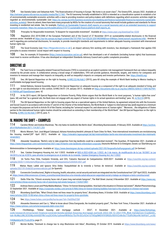104 See Daniela Gabor and Sebastian Kohl, "The financialization of housing in Europe: 'My home is an asset class'", The Greens/EFA, January 2022. Available at [http://extranet.greens-efa-service.eu/public/media/file/1/7461.](http://extranet.greens-efa-service.eu/public/media/file/1/7461) The EU taxonomy formally established in 2020 is intended as a classification system to establish a list of environmentally sustainable economic activities with a view to providing investors and policy-makers with definitions regarding which economic activities might be regarded as environmentally sustainable (see [https://ec.europa.eu/info/business-economy-euro/banking-and-finance/sustainable-finance/eu-taxonomy-sustainable](https://ec.europa.eu/info/business-economy-euro/banking-and-finance/sustainable-finance/eu-taxonomy-sustainable-activities_en#why)[activities\\_en#why](https://ec.europa.eu/info/business-economy-euro/banking-and-finance/sustainable-finance/eu-taxonomy-sustainable-activities_en#why)). Since its advent, there have been many proposals by NGOs for the creation of a social taxonomy that would include guidance and standards for those investing in residential real estate. See, for example, [Platform on Sustainable Finance's draft reports on a social taxonomy and on an extended taxonomy to support](file:///C:\Users\laton\AppData\Local\Microsoft\Windows\INetCache\Content.Outlook\0TFKC76C\Platform on Sustainable Finance) [economic transition:](file:///C:\Users\laton\AppData\Local\Microsoft\Windows\INetCache\Content.Outlook\0TFKC76C\Platform on Sustainable Finance) https://ec.europa.eu/info/publications/210712-sustainable-finance-platform-draft-reports\_en.

105 Principles for Responsible Investment, "A blueprint for responsible investment". Available at https://www.unpri.org/download?ac=5330

106 Regulation (EU) 2019/2088 of the European Parliament and of the Council of 27 November 2019 on sustainability-related disclosures in the financial services sector. Available at [https://eur-lex.europa.eu/legal-content/EN/TXT/PDF/?uri=CELEX:32019R2088&from=ENhttps://www.eurosif.org/policies/sfdr/.](https://eur-lex.europa.eu/legal-content/EN/TXT/PDF/?uri=CELEX:32019R2088&from=ENhttps://www.eurosif.org/policies/sfdr/) Articles 8 and 9 regarding pre-contractual disclosures, for example, to provide meaningful standards and requirements to deliver adequate housing consistent with international human rights law.

107 The Good Economy (see <https://thegoodeconomy.co.uk/>), an impact advisory firm working with investors, has developed a framework that applies ESG principles to assess investors' social impact with respect to housing.

108 See, for example, B Corporation [\(https://www.bcorporation.net/en-us\)](https://www.bcorporation.net/en-us), which has developed a set of standards (including human rights) that businesses must meet to receive certification. It has also developed an independent Standards Advisory Council and a public complaints procedure.

#### DIRECTIVE 10

The Task Force on Inequality-related Financial Disclosures (TIFD) is conceived as an explicit systemic risk management framework that can reduce inequality created by the private sector. A collaboration among a broad range of stakeholders, TIFD will provide guidance, thresholds, targets, and metrics for companies and investors to measure and manage their impacts on inequality, as well as inequality's impacts on company and investor performance. See: <https://thetifd.org/>

110 See, UN Special Rapporteur on the right to housing, [A/HRC/22/46/Add.3](https://documents-dds-ny.un.org/doc/UNDOC/GEN/G13/111/56/PDF/G1311156.pdf?OpenElement) (2013), para 60 citing the example of World Bank lending to Mexico leading to unaffordable mortgage based housing

111 United Nations, General Assembly, *Report of the Special Rapporteur on adequate housing as a component of the right to an adequate standard of living, and on the right to non-discrimination in this context*, A/HRC/34/51 (18 January 2017). Available at [https://documents-dds-ny.un.org/doc/UNDOC/GEN/G17/009/56/PDF/](https://documents-dds-ny.un.org/doc/UNDOC/GEN/G17/009/56/PDF/G1700956.pdf?OpenElement) [G1700956.pdf?OpenElement](https://documents-dds-ny.un.org/doc/UNDOC/GEN/G17/009/56/PDF/G1700956.pdf?OpenElement) para. 42

112 In his 2015 report, UN Special Rapporteur on Extreme Poverty, Philip Alston argues that the World Bank is for most purposes, "a human rights-free zone" (para. 68) and that "as a general rule, the Bank does not engage with any aspect of human rights in its actual operations and lending" para. 52,  $A/70/274$  (2015).

113 The UN Special Rapporteur on the right to housing argues that as a specialized agency of the United Nations, by agreement entered into with the Economic and Social Council in accordance with Articles 57 and 63 of the Charter of the United Nations, the World Bank is "subject to international law, [and] required at a minimum to respect the purposes set forth in Article 55 of the Charter, including the "universal respect for, and observance of, human rights". "Moreover, …the obligations of States parties to the international human rights treaties should be understood as extending to their membership of the World Bank". See UN Special Rapporteur on the right to housing, [A/HRC/22/46/Add.3](https://documents-dds-ny.un.org/doc/UNDOC/GEN/G13/111/56/PDF/G1311156.pdf?OpenElement) (2013), para. 9.

#### IV. MAKING THE SHIFT – EXAMPLES

114 Caroline Winter and Andrew Blackman, "No city hates its landlords like Berlin does", Bloomberg Businessweek, 4 February 2020. Available at [https://archive.](https://archive.ph/o1hly#selection-2671.114-2671.253) [ph/o1hly#selection-2671.114-2671.253](https://archive.ph/o1hly#selection-2671.114-2671.253)

115 Moritz Wienert, Text: José Miguel Calatayud, Adriana Homolova,Hendrik Lehmann & Team Cities for Rent, 'How international investments are revolutionizing the housing market'(28<sup>th</sup> April 2021). Available at: [https://interaktiv.tagesspiegel.de/lab/mietmarktlabor-berlin-wie-internationales-investment-den-mietmarkt](https://interaktiv.tagesspiegel.de/lab/mietmarktlabor-berlin-wie-internationales-investment-den-mietmarkt-veraendert/)[veraendert/](https://interaktiv.tagesspiegel.de/lab/mietmarktlabor-berlin-wie-internationales-investment-den-mietmarkt-veraendert/)

116 Alexander Vasudevan, "Berlin's vote to take properties from big landlords could be a watershed moment", The Guardian, 29 September 2021. Available at [https://www.theguardian.com/commentisfree/2021/sep/29/berlin-vote-landlords-referendum-corporate;](https://www.theguardian.com/commentisfree/2021/sep/29/berlin-vote-landlords-referendum-corporate) Deutsche Wohnen & Co Enteignen, Gesetz zur Überführung von

Wohnimmobilien in Gemeineigentum. Available at: <https://www.dwenteignen.de/wp-content/uploads/2021/05/Vergesellschaftungsgesetz.pdf>(in German)

117 See. Catalan Emergency Housing Act, Act 1/2022. Available at [BOE-A-2022-4208 Ley 1/2022, de 3 de marzo, de modificación de la Ley 18/2007, la Ley](https://www.boe.es/eli/es-ct/l/2022/03/03/1) [24/2015 y la Ley 4/2016, para afrontar la emergencia en el ámbito de la vivienda.](https://www.boe.es/eli/es-ct/l/2022/03/03/1) [Catalan Emergency Housing Act, Act 1/2022](https://www.cuatrecasas.com/resources/legal-flash-catalan-emergency-housing-act-act-1-2022-622f0b9a81e19667421564.pdf?v1.1.10.202201191812#:~:text=It empowers the Catalan Housing,new infringements and enforcement measures.)

118 Un Techo Para Chile, Fundaión Vivienda, and CES, 'Catastro Nacional de Campamentos 2020-2021'. Available at: https://ceschile.org/wp-content/ uploads/2020/11/Informe%20Ejecutivo\_Catastro%20Campamentos%202020-2021.pdf

119 Matías Reyes Labbé and Ignacio Silva Didier, 'Asequibilidad de la vivienda y formas de tenencia'. Available at: https://ceschile.org/wp-content/ uploads/2021/01/EnlaCES-primera-edicion.pdf (in Spanish)

120 Convención Constitucional, Rights to housing, health, education, social security and work are integrated into the Constitutional text' (20<sup>th</sup> April 2022). Available at: https://www.chileconvencion.cl/news\_cconstitucional/derechos-a-la-vivienda-salud-educacion-seguridad-social-y-trabajo-se-integran-a-texto-constitucional/

121 Stella Yifan Xie, "China's economy faces risk of years long real-estate hangover", The Wall Street Journal, 8 November 2021. Available at [https://www.wsj.](https://www.wsj.com/articles/chinas-economy-faces-risk-of-yearslong-real-estate-hangover-11636372801) [com/articles/chinas-economy-faces-risk-of-yearslong-real-estate-hangover-11636372801](https://www.wsj.com/articles/chinas-economy-faces-risk-of-yearslong-real-estate-hangover-11636372801)

122 Andreas Steno Larsen and Philip Maldia Madsen, "China: I'm forever blowing bubbles. How bad is the situation in Chinese real estate?", Market Phenomenology, 22 September 2021. Available at <https://corporate.nordea.com/article/67806/china-im-forever-blowing-bubbles-how-bad-is-the-situation-in-chinese-real-estate>

123 Bloomberg QuickTake, "What China's three red lines mean for property firms", Bloomberg News, 8 October 2020. Available at [https://www.bloomberg.com/](https://www.bloomberg.com/news/articles/2020-10-08/what-china-s-three-red-lines-mean-for-property-firms-quicktake) [news/articles/2020-10-08/what-china-s-three-red-lines-mean-for-property-firms-quicktake](https://www.bloomberg.com/news/articles/2020-10-08/what-china-s-three-red-lines-mean-for-property-firms-quicktake)

124 See, https://www.forbes.com/profile/hui-ka-yan/?sh=19a559a372bf

125 Alexandra Stevenson and Cao Li, "What to know about China Evergrande, the troubled property giant", The New York Times, 9 December 2021. Available at <https://www.nytimes.com/article/evergrande-debt-crisis.html>

126 FitchRatings, "Global housing and mortgage outlook - 2022", 8 December 2021. Available at [https://www.fitchratings.](https://www.fitchratings.com/research/structured-finance/covered-bonds/global-housing-mortgage-outlook-2022-08-12-2021?FR_Web-Validation=true&mkt_tok=NzMyLUNLSC03NjcAAAGEFRk1osjSC434u1pXmeHWXkSo7Scf9riGCx9Zm1UTKOg0MOlVlVSRGDz9DltVZnNv0o7TEdfh3Nzn9k1khPyh7_zv3G-F4lQBp6bEyrHlr7l1u5c39Yw) [com/research/structured-finance/covered-bonds/global-housing-mortgage-outlook-2022-08-12-2021?FR\\_Web-Validation=true&mkt\\_](https://www.fitchratings.com/research/structured-finance/covered-bonds/global-housing-mortgage-outlook-2022-08-12-2021?FR_Web-Validation=true&mkt_tok=NzMyLUNLSC03NjcAAAGEFRk1osjSC434u1pXmeHWXkSo7Scf9riGCx9Zm1UTKOg0MOlVlVSRGDz9DltVZnNv0o7TEdfh3Nzn9k1khPyh7_zv3G-F4lQBp6bEyrHlr7l1u5c39Yw) [tok=NzMyLUNLSC03NjcAAAGEFRk1osjSC434u1pXmeHWXkSo7Scf9riGCx9Zm1UTKOg0MOlVlVSRGDz9DltVZnNv0o7TEdfh3Nzn9k1khPyh7\\_zv3G-](https://www.fitchratings.com/research/structured-finance/covered-bonds/global-housing-mortgage-outlook-2022-08-12-2021?FR_Web-Validation=true&mkt_tok=NzMyLUNLSC03NjcAAAGEFRk1osjSC434u1pXmeHWXkSo7Scf9riGCx9Zm1UTKOg0MOlVlVSRGDz9DltVZnNv0o7TEdfh3Nzn9k1khPyh7_zv3G-F4lQBp6bEyrHlr7l1u5c39Yw)

[F4lQBp6bEyrHlr7l1u5c39Yw](https://www.fitchratings.com/research/structured-finance/covered-bonds/global-housing-mortgage-outlook-2022-08-12-2021?FR_Web-Validation=true&mkt_tok=NzMyLUNLSC03NjcAAAGEFRk1osjSC434u1pXmeHWXkSo7Scf9riGCx9Zm1UTKOg0MOlVlVSRGDz9DltVZnNv0o7TEdfh3Nzn9k1khPyh7_zv3G-F4lQBp6bEyrHlr7l1u5c39Yw) page 21.

127 Morten Buttler, "Denmark to change law to stop Blackstone rent hikes", Bloomberg, 29 October 2019. Available at [https://www.bloomberg.com/news/](https://www.bloomberg.com/news/articles/2019-10-29/blackstone-rent-hikes-set-to-bring-about-law-change-in-denmark)